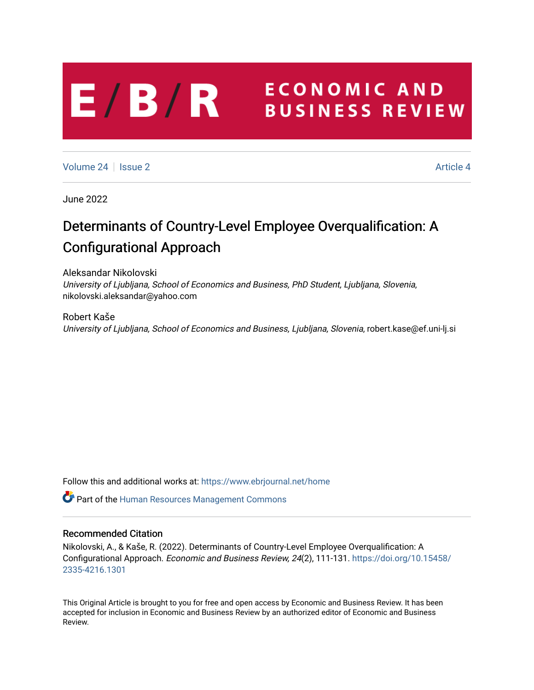# **ECONOMIC AND**  $E/B/R$ **BUSINESS REVIEW**

[Volume 24](https://www.ebrjournal.net/home/vol24) | [Issue 2](https://www.ebrjournal.net/home/vol24/iss2) Article 4

June 2022

# Determinants of Country-Level Employee Overqualification: A Configurational Approach

Aleksandar Nikolovski University of Ljubljana, School of Economics and Business, PhD Student, Ljubljana, Slovenia, nikolovski.aleksandar@yahoo.com

Robert Kaše University of Ljubljana, School of Economics and Business, Ljubljana, Slovenia, robert.kase@ef.uni-lj.si

Follow this and additional works at: [https://www.ebrjournal.net/home](https://www.ebrjournal.net/home?utm_source=www.ebrjournal.net%2Fhome%2Fvol24%2Fiss2%2F4&utm_medium=PDF&utm_campaign=PDFCoverPages) 

**Part of the Human Resources Management Commons** 

# Recommended Citation

Nikolovski, A., & Kaše, R. (2022). Determinants of Country-Level Employee Overqualification: A Configurational Approach. Economic and Business Review, 24(2), 111-131. [https://doi.org/10.15458/](https://doi.org/10.15458/2335-4216.1301) [2335-4216.1301](https://doi.org/10.15458/2335-4216.1301) 

This Original Article is brought to you for free and open access by Economic and Business Review. It has been accepted for inclusion in Economic and Business Review by an authorized editor of Economic and Business Review.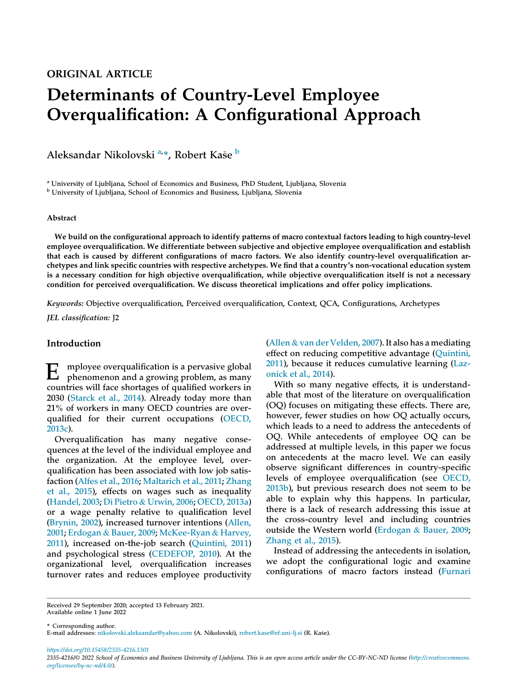# ORIGINAL ARTICLE Determinants of Country-Level Employee Overqualification: A Configurational Approach

Aleksandar Nikolovski <sup>[a,](#page-1-0)</sup>\*, Ro[b](#page-1-1)ert Kaše <sup>b</sup>

<span id="page-1-0"></span><sup>a</sup> University of Ljubljana, School of Economics and Business, PhD Student, Ljubljana, Slovenia

<span id="page-1-1"></span><sup>b</sup> University of Ljubljana, School of Economics and Business, Ljubljana, Slovenia

#### Abstract

We build on the configurational approach to identify patterns of macro contextual factors leading to high country-level employee overqualification. We differentiate between subjective and objective employee overqualification and establish that each is caused by different configurations of macro factors. We also identify country-level overqualification ar-<br>chetypes and link specific countries with respective archetypes. We find that a country's non-vocationa is a necessary condition for high objective overqualification, while objective overqualification itself is not a necessary condition for perceived overqualification. We discuss theoretical implications and offer policy implications.

Keywords: Objective overqualification, Perceived overqualification, Context, QCA, Configurations, Archetypes

JEL classification: J2

## Introduction

mployee overqualification is a pervasive global phenomenon and a growing problem, as many countries will face shortages of qualified workers in 2030 ([Starck et al., 2014](#page-17-0)). Already today more than 21% of workers in many OECD countries are overqualified for their current occupations ([OECD,](#page-17-1) [2013c](#page-17-1)).

Overqualification has many negative consequences at the level of the individual employee and the organization. At the employee level, overqualification has been associated with low job satisfaction ([Alfes et al., 2016](#page-16-0); [Maltarich et al., 2011;](#page-17-2) [Zhang](#page-17-3) [et al., 2015](#page-17-3)), effects on wages such as inequality [\(Handel, 2003;](#page-16-1) [Di Pietro](#page-16-2) & [Urwin, 2006;](#page-16-2) [OECD, 2013a\)](#page-17-4) or a wage penalty relative to qualification level [\(Brynin, 2002](#page-16-3)), increased turnover intentions [\(Allen,](#page-16-4) [2001;](#page-16-4) [Erdogan](#page-16-5) & [Bauer, 2009;](#page-16-5) [McKee-Ryan](#page-17-5) & [Harvey,](#page-17-5) [2011\)](#page-17-5), increased on-the-job search ([Quintini, 2011\)](#page-17-6) and psychological stress ([CEDEFOP, 2010](#page-16-6)). At the organizational level, overqualification increases turnover rates and reduces employee productivity [\(Allen](#page-16-7) & [van der Velden, 2007](#page-16-7)). It also has a mediating effect on reducing competitive advantage ([Quintini,](#page-17-6) [2011](#page-17-6)), because it reduces cumulative learning ([Laz](#page-17-7)[onick et al., 2014\)](#page-17-7).

With so many negative effects, it is understandable that most of the literature on overqualification (OQ) focuses on mitigating these effects. There are, however, fewer studies on how OQ actually occurs, which leads to a need to address the antecedents of OQ. While antecedents of employee OQ can be addressed at multiple levels, in this paper we focus on antecedents at the macro level. We can easily observe significant differences in country-specific levels of employee overqualification (see [OECD,](#page-17-8) [2013b\)](#page-17-8), but previous research does not seem to be able to explain why this happens. In particular, there is a lack of research addressing this issue at the cross-country level and including countries outside the Western world [\(Erdogan](#page-16-5) & [Bauer, 2009;](#page-16-5) [Zhang et al., 2015](#page-17-3)).

Instead of addressing the antecedents in isolation, we adopt the configurational logic and examine configurations of macro factors instead ([Furnari](#page-16-8)

Received 29 September 2020; accepted 13 February 2021. Available online 1 June 2022

\* Corresponding author. E-mail addresses: [nikolovski.aleksandar@yahoo.com](mailto:nikolovski.aleksandar@yahoo.com) (A. Nikolovski), [robert.kase@ef.uni-lj.si](mailto:robert.kase@ef.uni-lj.si) (R. Kase).

https://doi.org/10.15458/2335-4216.1301 2335-4216/© 2022 School of Economics and Business University of Ljubljana. This is an open access article under the CC-BY-NC-ND license [\(http://creativecommons.](http://creativecommons.org/licenses/by-nc-nd/4.0/) [org/licenses/by-nc-nd/4.0/](http://creativecommons.org/licenses/by-nc-nd/4.0/)).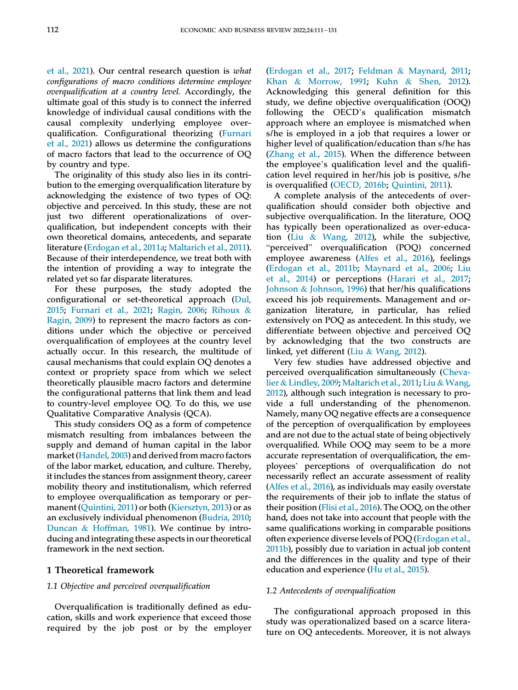[et al., 2021](#page-16-8)). Our central research question is what configurations of macro conditions determine employee overqualification at a country level. Accordingly, the ultimate goal of this study is to connect the inferred knowledge of individual causal conditions with the causal complexity underlying employee overqualification. Configurational theorizing [\(Furnari](#page-16-8) [et al., 2021\)](#page-16-8) allows us determine the configurations of macro factors that lead to the occurrence of OQ by country and type.

The originality of this study also lies in its contribution to the emerging overqualification literature by acknowledging the existence of two types of OQ: objective and perceived. In this study, these are not just two different operationalizations of overqualification, but independent concepts with their own theoretical domains, antecedents, and separate literature ([Erdogan et al., 2011a](#page-16-9); [Maltarich et al., 2011\)](#page-17-2). Because of their interdependence, we treat both with the intention of providing a way to integrate the related yet so far disparate literatures.

For these purposes, the study adopted the configurational or set-theoretical approach ([Dul,](#page-16-10) [2015;](#page-16-10) [Furnari et al., 2021](#page-16-8); [Ragin, 2006;](#page-17-9) [Rihoux](#page-17-10) & [Ragin, 2009](#page-17-10)) to represent the macro factors as conditions under which the objective or perceived overqualification of employees at the country level actually occur. In this research, the multitude of causal mechanisms that could explain OQ denotes a context or propriety space from which we select theoretically plausible macro factors and determine the configurational patterns that link them and lead to country-level employee OQ. To do this, we use Qualitative Comparative Analysis (QCA).

This study considers OQ as a form of competence mismatch resulting from imbalances between the supply and demand of human capital in the labor market [\(Handel, 2003](#page-16-1)) and derived from macro factors of the labor market, education, and culture. Thereby, it includes the stances from assignment theory, career mobility theory and institutionalism, which referred to employee overqualification as temporary or permanent [\(Quintini, 2011\)](#page-17-6) or both ([Kiersztyn, 2013](#page-16-11)) or as an exclusively individual phenomenon (Budrí[a, 2010;](#page-16-12) [Duncan](#page-16-13) & [Hoffman, 1981\)](#page-16-13). We continue by introducing and integrating these aspects in our theoretical framework in the next section.

#### 1 Theoretical framework

#### 1.1 Objective and perceived overqualification

Overqualification is traditionally defined as education, skills and work experience that exceed those required by the job post or by the employer [\(Erdogan et al., 2017;](#page-16-14) [Feldman](#page-16-15) & [Maynard, 2011;](#page-16-15) [Khan](#page-16-16) & [Morrow, 1991](#page-16-16); [Kuhn](#page-16-17) & [Shen, 2012\)](#page-16-17). Acknowledging this general definition for this study, we define objective overqualification (OOQ) following the OECD's qualification mismatch approach where an employee is mismatched when s/he is employed in a job that requires a lower or higher level of qualification/education than s/he has [\(Zhang et al., 2015\)](#page-17-3). When the difference between the employee's qualification level and the qualification level required in her/his job is positive, s/he is overqualified [\(OECD, 2016b;](#page-17-11) [Quintini, 2011\)](#page-17-6).

A complete analysis of the antecedents of overqualification should consider both objective and subjective overqualification. In the literature, OOQ has typically been operationalized as over-education [\(Liu](#page-17-12) & [Wang, 2012\)](#page-17-12), while the subjective, perceived" overqualification (POQ) concerned employee awareness [\(Alfes et al., 2016\)](#page-16-0), feelings [\(Erdogan et al., 2011b](#page-16-18); [Maynard et al., 2006](#page-17-13); [Liu](#page-17-14) [et al., 2014](#page-17-14)) or perceptions ([Harari et al., 2017;](#page-16-19) [Johnson](#page-16-20) & [Johnson, 1996\)](#page-16-20) that her/his qualifications exceed his job requirements. Management and organization literature, in particular, has relied extensively on POQ as antecedent. In this study, we differentiate between objective and perceived OQ by acknowledging that the two constructs are linked, yet different ([Liu](#page-17-12) & [Wang, 2012\)](#page-17-12).

Very few studies have addressed objective and perceived overqualification simultaneously [\(Cheva](#page-16-21)[lier](#page-16-21) & [Lindley, 2009](#page-16-21); [Maltarich et al., 2011](#page-17-2); [Liu](#page-17-12) & [Wang,](#page-17-12) [2012\)](#page-17-12), although such integration is necessary to provide a full understanding of the phenomenon. Namely, many OQ negative effects are a consequence of the perception of overqualification by employees and are not due to the actual state of being objectively overqualified. While OOQ may seem to be a more accurate representation of overqualification, the em-ployees' perceptions of overqualification do not necessarily reflect an accurate assessment of reality [\(Alfes et al., 2016\)](#page-16-0), as individuals may easily overstate the requirements of their job to inflate the status of their position ([Flisi et al., 2016\)](#page-16-22). The OOQ, on the other hand, does not take into account that people with the same qualifications working in comparable positions often experience diverse levels of POQ [\(Erdogan et al.,](#page-16-18) [2011b](#page-16-18)), possibly due to variation in actual job content and the differences in the quality and type of their education and experience ([Hu et al., 2015](#page-16-23)).

#### 1.2 Antecedents of overqualification

The configurational approach proposed in this study was operationalized based on a scarce literature on OQ antecedents. Moreover, it is not always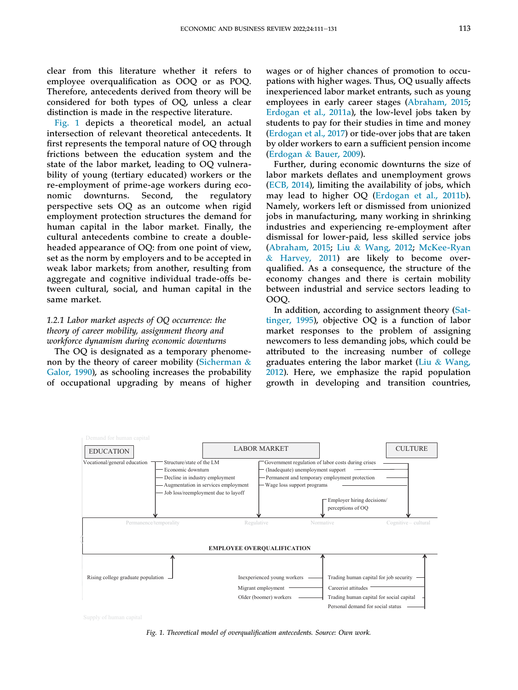clear from this literature whether it refers to employee overqualification as OOQ or as POQ. Therefore, antecedents derived from theory will be considered for both types of OQ, unless a clear distinction is made in the respective literature.

[Fig. 1](#page-3-0) depicts a theoretical model, an actual intersection of relevant theoretical antecedents. It first represents the temporal nature of OQ through frictions between the education system and the state of the labor market, leading to OQ vulnerability of young (tertiary educated) workers or the re-employment of prime-age workers during economic downturns. Second, the regulatory perspective sets OQ as an outcome when rigid employment protection structures the demand for human capital in the labor market. Finally, the cultural antecedents combine to create a doubleheaded appearance of OQ: from one point of view, set as the norm by employers and to be accepted in weak labor markets; from another, resulting from aggregate and cognitive individual trade-offs between cultural, social, and human capital in the same market.

## 1.2.1 Labor market aspects of OQ occurrence: the theory of career mobility, assignment theory and workforce dynamism during economic downturns

The OQ is designated as a temporary phenome-non by the theory of career mobility [\(Sicherman](#page-17-15)  $\&$ [Galor, 1990\)](#page-17-15), as schooling increases the probability of occupational upgrading by means of higher wages or of higher chances of promotion to occupations with higher wages. Thus, OQ usually affects inexperienced labor market entrants, such as young employees in early career stages ([Abraham, 2015;](#page-15-0) [Erdogan et al., 2011a\)](#page-16-9), the low-level jobs taken by students to pay for their studies in time and money [\(Erdogan et al., 2017\)](#page-16-14) or tide-over jobs that are taken by older workers to earn a sufficient pension income [\(Erdogan](#page-16-5) & [Bauer, 2009](#page-16-5)).

Further, during economic downturns the size of labor markets deflates and unemployment grows [\(ECB, 2014\)](#page-16-24), limiting the availability of jobs, which may lead to higher OQ ([Erdogan et al., 2011b\)](#page-16-18). Namely, workers left or dismissed from unionized jobs in manufacturing, many working in shrinking industries and experiencing re-employment after dismissal for lower-paid, less skilled service jobs [\(Abraham, 2015](#page-15-0); [Liu](#page-17-12) & [Wang, 2012;](#page-17-12) [McKee-Ryan](#page-17-5) & [Harvey, 2011](#page-17-5)) are likely to become overqualified. As a consequence, the structure of the economy changes and there is certain mobility between industrial and service sectors leading to OOQ.

In addition, according to assignment theory [\(Sat](#page-17-16)[tinger, 1995\)](#page-17-16), objective OQ is a function of labor market responses to the problem of assigning newcomers to less demanding jobs, which could be attributed to the increasing number of college graduates entering the labor market [\(Liu](#page-17-12) & [Wang,](#page-17-12) [2012](#page-17-12)). Here, we emphasize the rapid population growth in developing and transition countries,

<span id="page-3-0"></span>

Fig. 1. Theoretical model of overqualification antecedents. Source: Own work.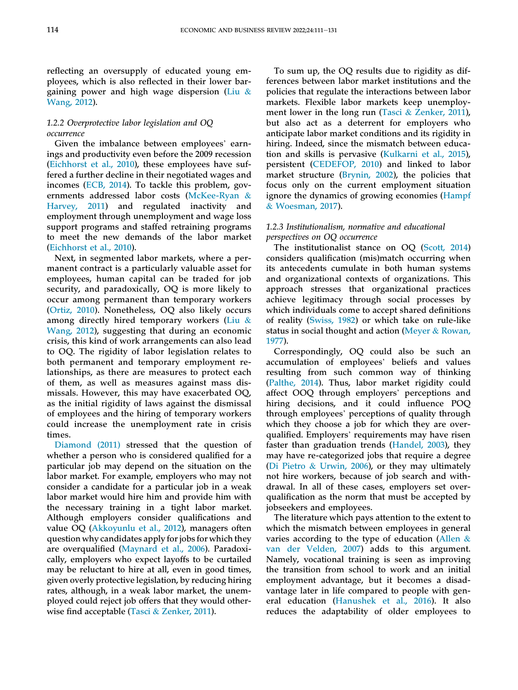reflecting an oversupply of educated young employees, which is also reflected in their lower bar-gaining power and high wage dispersion ([Liu](#page-17-12)  $\&$ [Wang, 2012\)](#page-17-12).

#### 1.2.2 Overprotective labor legislation and OQ occurrence

Given the imbalance between employees' earnings and productivity even before the 2009 recession [\(Eichhorst et al., 2010\)](#page-16-25), these employees have suffered a further decline in their negotiated wages and incomes ([ECB, 2014\)](#page-16-24). To tackle this problem, governments addressed labor costs [\(McKee-Ryan](#page-17-5) & [Harvey, 2011\)](#page-17-5) and regulated inactivity and employment through unemployment and wage loss support programs and staffed retraining programs to meet the new demands of the labor market [\(Eichhorst et al., 2010](#page-16-25)).

Next, in segmented labor markets, where a permanent contract is a particularly valuable asset for employees, human capital can be traded for job security, and paradoxically, OQ is more likely to occur among permanent than temporary workers [\(Ortiz, 2010\)](#page-17-17). Nonetheless, OQ also likely occurs among directly hired temporary workers ([Liu](#page-17-12) & [Wang, 2012](#page-17-12)), suggesting that during an economic crisis, this kind of work arrangements can also lead to OQ. The rigidity of labor legislation relates to both permanent and temporary employment relationships, as there are measures to protect each of them, as well as measures against mass dismissals. However, this may have exacerbated OQ, as the initial rigidity of laws against the dismissal of employees and the hiring of temporary workers could increase the unemployment rate in crisis times.

[Diamond \(2011\)](#page-16-26) stressed that the question of whether a person who is considered qualified for a particular job may depend on the situation on the labor market. For example, employers who may not consider a candidate for a particular job in a weak labor market would hire him and provide him with the necessary training in a tight labor market. Although employers consider qualifications and value OQ ([Akkoyunlu et al., 2012\)](#page-16-27), managers often question why candidates apply for jobs for which they are overqualified ([Maynard et al., 2006\)](#page-17-13). Paradoxically, employers who expect layoffs to be curtailed may be reluctant to hire at all, even in good times, given overly protective legislation, by reducing hiring rates, although, in a weak labor market, the unemployed could reject job offers that they would otherwise find acceptable [\(Tasci](#page-17-18) & [Zenker, 2011\)](#page-17-18).

To sum up, the OQ results due to rigidity as differences between labor market institutions and the policies that regulate the interactions between labor markets. Flexible labor markets keep unemployment lower in the long run [\(Tasci](#page-17-18) & [Zenker, 2011\)](#page-17-18), but also act as a deterrent for employers who anticipate labor market conditions and its rigidity in hiring. Indeed, since the mismatch between education and skills is pervasive ([Kulkarni et al., 2015\)](#page-16-28), persistent ([CEDEFOP, 2010\)](#page-16-6) and linked to labor market structure ([Brynin, 2002](#page-16-3)), the policies that focus only on the current employment situation ignore the dynamics of growing economies ([Hampf](#page-16-29) & [Woesman, 2017](#page-16-29)).

#### 1.2.3 Institutionalism, normative and educational perspectives on OQ occurrence

The institutionalist stance on OQ [\(Scott, 2014](#page-17-19)) considers qualification (mis)match occurring when its antecedents cumulate in both human systems and organizational contexts of organizations. This approach stresses that organizational practices achieve legitimacy through social processes by which individuals come to accept shared definitions of reality [\(Swiss, 1982\)](#page-17-20) or which take on rule-like status in social thought and action [\(Meyer](#page-17-21) & [Rowan,](#page-17-21) [1977](#page-17-21)).

Correspondingly, OQ could also be such an accumulation of employees' beliefs and values resulting from such common way of thinking [\(Palthe, 2014](#page-17-22)). Thus, labor market rigidity could affect OOQ through employers' perceptions and hiring decisions, and it could influence POQ through employees' perceptions of quality through which they choose a job for which they are overqualified. Employers' requirements may have risen faster than graduation trends [\(Handel, 2003\)](#page-16-1), they may have re-categorized jobs that require a degree [\(Di Pietro](#page-16-2) & [Urwin, 2006\)](#page-16-2), or they may ultimately not hire workers, because of job search and withdrawal. In all of these cases, employers set overqualification as the norm that must be accepted by jobseekers and employees.

The literature which pays attention to the extent to which the mismatch between employees in general varies according to the type of education [\(Allen](#page-16-7) & [van der Velden, 2007\)](#page-16-7) adds to this argument. Namely, vocational training is seen as improving the transition from school to work and an initial employment advantage, but it becomes a disadvantage later in life compared to people with general education ([Hanushek et al., 2016](#page-16-30)). It also reduces the adaptability of older employees to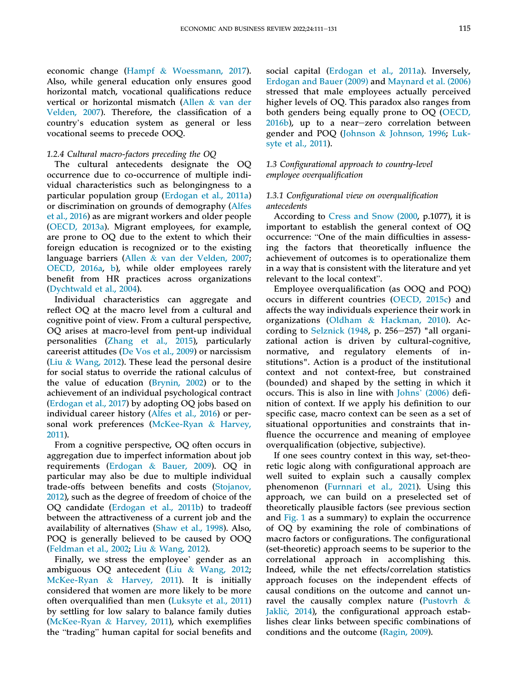economic change ([Hampf](#page-16-29) & [Woessmann, 2017](#page-16-29)). Also, while general education only ensures good horizontal match, vocational qualifications reduce vertical or horizontal mismatch [\(Allen](#page-16-7) & [van der](#page-16-7) vertical or horizontal mismatch (Allen & van der<br>[Velden, 2007\)](#page-16-7). Therefore, the classification of a<br>country's education system as general or less vocational seems to precede OOQ.

# 1.2.4 Cultural macro-factors preceding the OQ

The cultural antecedents designate the OQ occurrence due to co-occurrence of multiple individual characteristics such as belongingness to a particular population group [\(Erdogan et al., 2011a\)](#page-16-9) or discrimination on grounds of demography [\(Alfes](#page-16-0) [et al., 2016](#page-16-0)) as are migrant workers and older people [\(OECD, 2013a\)](#page-17-4). Migrant employees, for example, are prone to OQ due to the extent to which their foreign education is recognized or to the existing language barriers ([Allen](#page-16-7) & [van der Velden, 2007;](#page-16-7) [OECD, 2016a,](#page-17-23) [b](#page-17-11)), while older employees rarely benefit from HR practices across organizations [\(Dychtwald et al., 2004](#page-16-31)).

Individual characteristics can aggregate and reflect OQ at the macro level from a cultural and cognitive point of view. From a cultural perspective, OQ arises at macro-level from pent-up individual personalities ([Zhang et al., 2015](#page-17-3)), particularly careerist attitudes [\(De Vos et al., 2009\)](#page-16-32) or narcissism [\(Liu](#page-17-12) & [Wang, 2012](#page-17-12)). These lead the personal desire for social status to override the rational calculus of the value of education ([Brynin, 2002](#page-16-3)) or to the achievement of an individual psychological contract [\(Erdogan et al., 2017](#page-16-14)) by adopting OQ jobs based on individual career history ([Alfes et al., 2016\)](#page-16-0) or personal work preferences ([McKee-Ryan](#page-17-5) & [Harvey,](#page-17-5) [2011\)](#page-17-5).

From a cognitive perspective, OQ often occurs in aggregation due to imperfect information about job requirements ([Erdogan](#page-16-5) & [Bauer, 2009](#page-16-5)). OQ in particular may also be due to multiple individual trade-offs between benefits and costs [\(Stojanov,](#page-17-24) [2012\)](#page-17-24), such as the degree of freedom of choice of the OQ candidate ([Erdogan et al., 2011b\)](#page-16-18) to tradeoff between the attractiveness of a current job and the availability of alternatives [\(Shaw et al., 1998\)](#page-17-25). Also, POQ is generally believed to be caused by OOQ [\(Feldman et al., 2002](#page-16-33); [Liu](#page-17-12) & [Wang, 2012\)](#page-17-12).

Finally, we stress the employee' gender as an ambiguous OQ antecedent [\(Liu](#page-17-12) & [Wang, 2012;](#page-17-12) [McKee-Ryan](#page-17-5) & [Harvey, 2011\)](#page-17-5). It is initially considered that women are more likely to be more often overqualified than men ([Luksyte et al., 2011\)](#page-17-26) by settling for low salary to balance family duties [\(McKee-Ryan](#page-17-5) & [Harvey, 2011](#page-17-5)), which exemplifies the "trading" human capital for social benefits and social capital ([Erdogan et al., 2011a](#page-16-9)). Inversely, [Erdogan and Bauer \(2009\)](#page-16-5) and [Maynard et al. \(2006\)](#page-17-13) stressed that male employees actually perceived higher levels of OQ. This paradox also ranges from both genders being equally prone to OQ ([OECD,](#page-17-11)  $2016b$ ), up to a near-zero correlation between gender and POQ ([Johnson](#page-16-20) & [Johnson, 1996;](#page-16-20) [Luk](#page-17-26)[syte et al., 2011\)](#page-17-26).

#### 1.3 Configurational approach to country-level employee overqualification

#### 1.3.1 Configurational view on overqualification antecedents

According to [Cress and Snow \(2000](#page-16-34), p.1077), it is important to establish the general context of OQ occurrence: "One of the main difficulties in assessing the factors that theoretically influence the achievement of outcomes is to operationalize them in a way that is consistent with the literature and yet achievement of outcomes is<br>in a way that is consistent with<br>relevant to the local context".

Employee overqualification (as OOQ and POQ) occurs in different countries [\(OECD, 2015c](#page-17-27)) and affects the way individuals experience their work in organizations ([Oldham](#page-17-28) & [Hackman, 2010](#page-17-28)). According to Selznick  $(1948, p. 256-257)$  "all organizational action is driven by cultural-cognitive, normative, and regulatory elements of institutions". Action is a product of the institutional context and not context-free, but constrained (bounded) and shaped by the setting in which it context and not context-iree, but constrained<br>(bounded) and shaped by the setting in which it<br>occurs. This is also in line with Johns' [\(2006\)](#page-16-35) definition of context. If we apply his definition to our specific case, macro context can be seen as a set of situational opportunities and constraints that influence the occurrence and meaning of employee overqualification (objective, subjective).

If one sees country context in this way, set-theoretic logic along with configurational approach are well suited to explain such a causally complex phenomenon ([Furnnari et al., 2021\)](#page-16-8). Using this approach, we can build on a preselected set of theoretically plausible factors (see previous section and [Fig. 1](#page-3-0) as a summary) to explain the occurrence of OQ by examining the role of combinations of macro factors or configurations. The configurational (set-theoretic) approach seems to be superior to the correlational approach in accomplishing this. Indeed, while the net effects/correlation statistics approach focuses on the independent effects of causal conditions on the outcome and cannot unravel the causally complex nature [\(Pustovrh](#page-17-30) & [Jakli](#page-17-30)c[, 2014](#page-17-30)), the configurational approach establishes clear links between specific combinations of conditions and the outcome [\(Ragin, 2009](#page-17-31)).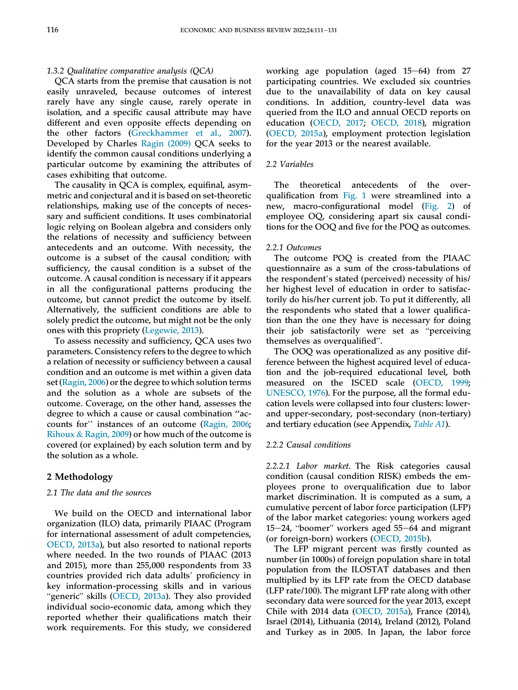#### 1.3.2 Qualitative comparative analysis (QCA)

QCA starts from the premise that causation is not easily unraveled, because outcomes of interest rarely have any single cause, rarely operate in isolation, and a specific causal attribute may have different and even opposite effects depending on the other factors ([Greckhammer et al., 2007](#page-16-36)). Developed by Charles [Ragin \(2009\)](#page-17-31) QCA seeks to identify the common causal conditions underlying a particular outcome by examining the attributes of cases exhibiting that outcome.

The causality in QCA is complex, equifinal, asymmetric and conjectural and it is based on set-theoretic relationships, making use of the concepts of necessary and sufficient conditions. It uses combinatorial logic relying on Boolean algebra and considers only the relations of necessity and sufficiency between antecedents and an outcome. With necessity, the outcome is a subset of the causal condition; with sufficiency, the causal condition is a subset of the outcome. A causal condition is necessary if it appears in all the configurational patterns producing the outcome, but cannot predict the outcome by itself. Alternatively, the sufficient conditions are able to solely predict the outcome, but might not be the only ones with this propriety ([Legewie, 2013\)](#page-17-32).

To assess necessity and sufficiency, QCA uses two parameters. Consistency refers to the degree to which a relation of necessity or sufficiency between a causal condition and an outcome is met within a given data set [\(Ragin, 2006](#page-17-9)) or the degree to which solution terms and the solution as a whole are subsets of the outcome. Coverage, on the other hand, assesses the degree to which a cause or causal combination ''accounts for'' instances of an outcome ([Ragin, 2006;](#page-17-9) [Rihoux](#page-17-10) & [Ragin, 2009](#page-17-10)) or how much of the outcome is covered (or explained) by each solution term and by the solution as a whole.

### 2 Methodology

#### 2.1 The data and the sources

We build on the OECD and international labor organization (ILO) data, primarily PIAAC (Program for international assessment of adult competencies, [OECD, 2013a\)](#page-17-4), but also resorted to national reports where needed. In the two rounds of PIAAC (2013 and 2015), more than 255,000 respondents from 33 where heeded. In the two rounds of PTAAC (2015<br>and 2015), more than 255,000 respondents from 33<br>countries provided rich data adults' proficiency in key information-processing skills and in various "generic" skills ([OECD, 2013a\)](#page-17-4). They also provided individual socio-economic data, among which they reported whether their qualifications match their work requirements. For this study, we considered working age population (aged  $15-64$ ) from 27 participating countries. We excluded six countries due to the unavailability of data on key causal conditions. In addition, country-level data was queried from the ILO and annual OECD reports on education ([OECD, 2017](#page-17-33); [OECD, 2018](#page-17-34)), migration [\(OECD, 2015a](#page-17-35)), employment protection legislation for the year 2013 or the nearest available.

#### 2.2 Variables

The theoretical antecedents of the overqualification from [Fig. 1](#page-3-0) were streamlined into a new, macro-configurational model [\(Fig. 2\)](#page-7-0) of employee OQ, considering apart six causal conditions for the OOQ and five for the POQ as outcomes.

#### 2.2.1 Outcomes

The outcome POQ is created from the PIAAC questionnaire as a sum of the cross-tabulations of the respondent's stated (perceived) necessity of his/ her highest level of education in order to satisfactorily do his/her current job. To put it differently, all the respondents who stated that a lower qualification than the one they have is necessary for doing the respondents who stated that a lower quantica-<br>tion than the one they have is necessary for doing<br>their job satisfactorily were set as "perceiving their job satisfactorily were set as "perceiving themselves as overqualified".

The OOQ was operationalized as any positive difference between the highest acquired level of education and the job-required educational level, both measured on the ISCED scale [\(OECD, 1999;](#page-17-36) [UNESCO, 1976](#page-17-37)). For the purpose, all the formal education levels were collapsed into four clusters: lowerand upper-secondary, post-secondary (non-tertiary) and tertiary education (see Appendix, [Table A1](#page-18-0)).

#### 2.2.2 Causal conditions

2.2.2.1 Labor market. The Risk categories causal condition (causal condition RISK) embeds the employees prone to overqualification due to labor market discrimination. It is computed as a sum, a cumulative percent of labor force participation (LFP) of the labor market categories: young workers aged  $15-24$ , "boomer" workers aged  $55-64$  and migrant (or foreign-born) workers [\(OECD, 2015b\)](#page-17-38).

The LFP migrant percent was firstly counted as number (in 1000s) of foreign population share in total population from the ILOSTAT databases and then multiplied by its LFP rate from the OECD database (LFP rate/100). The migrant LFP rate along with other secondary data were sourced for the year 2013, except Chile with 2014 data ([OECD, 2015a](#page-17-35)), France (2014), Israel (2014), Lithuania (2014), Ireland (2012), Poland and Turkey as in 2005. In Japan, the labor force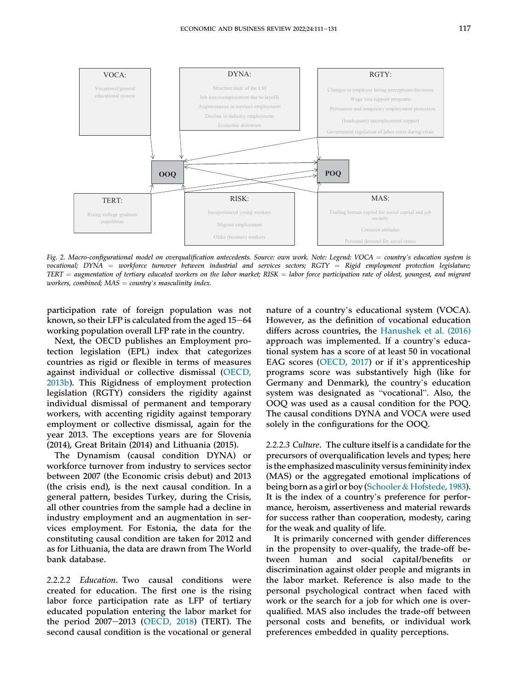<span id="page-7-0"></span>

Fig. 2. Macro-configurational model on overqualification antecedents. Source: own work. Note: Legend: VOCA = country's education system is vocational; DYNA = workforce turnover between industrial and services sectors;  $RGTY =$  Rigid employment protection legislature; vocanonai; DTNA = workforce utmover between maustrial and services sectors; KGTT = Kigla employment protection legislature;<br>TERT = augmentation of tertiary educated workers on the labor market; RISK = labor force participa

participation rate of foreign population was not known, so their LFP is calculated from the aged  $15-64$ working population overall LFP rate in the country.

Next, the OECD publishes an Employment protection legislation (EPL) index that categorizes countries as rigid or flexible in terms of measures against individual or collective dismissal ([OECD,](#page-17-8) [2013b\)](#page-17-8). This Rigidness of employment protection legislation (RGTY) considers the rigidity against individual dismissal of permanent and temporary workers, with accenting rigidity against temporary employment or collective dismissal, again for the year 2013. The exceptions years are for Slovenia (2014), Great Britain (2014) and Lithuania (2015).

The Dynamism (causal condition DYNA) or workforce turnover from industry to services sector between 2007 (the Economic crisis debut) and 2013 (the crisis end), is the next causal condition. In a general pattern, besides Turkey, during the Crisis, all other countries from the sample had a decline in industry employment and an augmentation in services employment. For Estonia, the data for the constituting causal condition are taken for 2012 and as for Lithuania, the data are drawn from The World bank database.

2.2.2.2 Education. Two causal conditions were created for education. The first one is the rising labor force participation rate as LFP of tertiary educated population entering the labor market for the period  $2007-2013$  [\(OECD, 2018\)](#page-17-34) (TERT). The second causal condition is the vocational or general nature of a country's educational system (VOCA). However, as the definition of vocational education differs across countries, the [Hanushek et al. \(2016\)](#page-16-30) approach was implemented. If a country's educational system has a score of at least 50 in vocational EAG scores ([OECD, 2017](#page-17-33)) or if it's apprenticeship programs score was substantively high (like for EAG SCOPES (OECD, 2017) OF IT It s apprenuceship<br>programs score was substantively high (like for<br>Germany and Denmark), the country's education programs score was substantively high (like for<br>Germany and Denmark), the country's education<br>system was designated as "vocational". Also, the OOQ was used as a causal condition for the POQ. The causal conditions DYNA and VOCA were used solely in the configurations for the OOQ.

2.2.2.3 Culture. The culture itself is a candidate for the precursors of overqualification levels and types; here is the emphasized masculinity versus femininity index (MAS) or the aggregated emotional implications of being born as a girl or boy [\(Schooler](#page-17-39) & [Hofstede, 1983\)](#page-17-39). It is the index of a country's preference for performance, heroism, assertiveness and material rewards for success rather than cooperation, modesty, caring for the weak and quality of life.

It is primarily concerned with gender differences in the propensity to over-qualify, the trade-off between human and social capital/benefits or discrimination against older people and migrants in the labor market. Reference is also made to the personal psychological contract when faced with work or the search for a job for which one is overqualified. MAS also includes the trade-off between personal costs and benefits, or individual work preferences embedded in quality perceptions.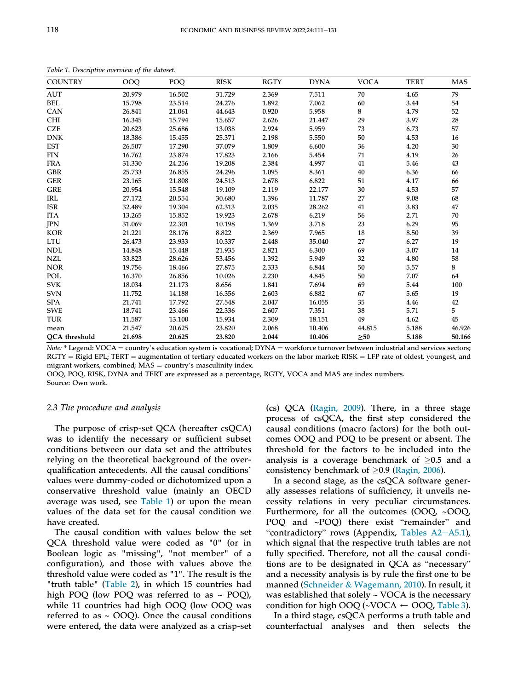| <b>COUNTRY</b>       | 000    | POO    | <b>RISK</b> | <b>RGTY</b> | <b>DYNA</b> | <b>VOCA</b> | <b>TERT</b> | <b>MAS</b> |
|----------------------|--------|--------|-------------|-------------|-------------|-------------|-------------|------------|
| <b>AUT</b>           | 20.979 | 16.502 | 31.729      | 2.369       | 7.511       | 70          | 4.65        | 79         |
| BEL                  | 15.798 | 23.514 | 24.276      | 1.892       | 7.062       | 60          | 3.44        | 54         |
| CAN                  | 26.841 | 21.061 | 44.643      | 0.920       | 5.958       | 8           | 4.79        | 52         |
| CHI                  | 16.345 | 15.794 | 15.657      | 2.626       | 21.447      | 29          | 3.97        | 28         |
| <b>CZE</b>           | 20.623 | 25.686 | 13.038      | 2.924       | 5.959       | 73          | 6.73        | 57         |
| <b>DNK</b>           | 18.386 | 15.455 | 25.371      | 2.198       | 5.550       | 50          | 4.53        | 16         |
| <b>EST</b>           | 26.507 | 17.290 | 37.079      | 1.809       | 6.600       | 36          | 4.20        | 30         |
| <b>FIN</b>           | 16.762 | 23.874 | 17.823      | 2.166       | 5.454       | 71          | 4.19        | 26         |
| <b>FRA</b>           | 31.330 | 24.256 | 19.208      | 2.384       | 4.997       | 41          | 5.46        | 43         |
| <b>GBR</b>           | 25.733 | 26.855 | 24.296      | 1.095       | 8.361       | 40          | 6.36        | 66         |
| <b>GER</b>           | 23.165 | 21.808 | 24.513      | 2.678       | 6.822       | 51          | 4.17        | 66         |
| <b>GRE</b>           | 20.954 | 15.548 | 19.109      | 2.119       | 22.177      | 30          | 4.53        | 57         |
| <b>IRL</b>           | 27.172 | 20.554 | 30.680      | 1.396       | 11.787      | 27          | 9.08        | 68         |
| ISR                  | 32.489 | 19.304 | 62.313      | 2.035       | 28.262      | 41          | 3.83        | 47         |
| <b>ITA</b>           | 13.265 | 15.852 | 19.923      | 2.678       | 6.219       | 56          | 2.71        | 70         |
| JPN                  | 31.069 | 22.301 | 10.198      | 1.369       | 3.718       | 23          | 6.29        | 95         |
| <b>KOR</b>           | 21.221 | 28.176 | 8.822       | 2.369       | 7.965       | 18          | 8.50        | 39         |
| LTU                  | 26.473 | 23.933 | 10.337      | 2.448       | 35.040      | 27          | 6.27        | 19         |
| <b>NDL</b>           | 14.848 | 15.448 | 21.935      | 2.821       | 6.300       | 69          | 3.07        | 14         |
| <b>NZL</b>           | 33.823 | 28.626 | 53.456      | 1.392       | 5.949       | 32          | 4.80        | 58         |
| <b>NOR</b>           | 19.756 | 18.466 | 27.875      | 2.333       | 6.844       | 50          | 5.57        | 8          |
| POL                  | 16.370 | 26.856 | 10.026      | 2.230       | 4.845       | 50          | 7.07        | 64         |
| <b>SVK</b>           | 18.034 | 21.173 | 8.656       | 1.841       | 7.694       | 69          | 5.44        | 100        |
| <b>SVN</b>           | 11.752 | 14.188 | 16.356      | 2.603       | 6.882       | 67          | 5.65        | 19         |
| <b>SPA</b>           | 21.741 | 17.792 | 27.548      | 2.047       | 16.055      | 35          | 4.46        | 42         |
| <b>SWE</b>           | 18.741 | 23.466 | 22.336      | 2.607       | 7.351       | 38          | 5.71        | 5          |
| <b>TUR</b>           | 11.587 | 13.100 | 15.934      | 2.309       | 18.151      | 49          | 4.62        | 45         |
| mean                 | 21.547 | 20.625 | 23.820      | 2.068       | 10.406      | 44.815      | 5.188       | 46.926     |
| <b>QCA</b> threshold | 21.698 | 20.625 | 23.820      | 2.044       | 10.406      | $\geq 50$   | 5.188       | 50.166     |

<span id="page-8-0"></span>Table 1. Descriptive overview of the dataset.

Note:  $*$  Legend: VOCA = country's education system is vocational; DYNA = workforce turnover between industrial and services sectors; Note. Eegend. VOCA – country's education system is vocational, DTNA – workforce turnover between industrial and services sectors,<br>RGTY = Rigid EPL; TERT = augmentation of tertiary educated workers on the labor market; RISK

OOQ, POQ, RISK, DYNA and TERT are expressed as a percentage, RGTY, VOCA and MAS are index numbers. Source: Own work.

#### 2.3 The procedure and analysis

The purpose of crisp-set QCA (hereafter csQCA) was to identify the necessary or sufficient subset conditions between our data set and the attributes relying on the theoretical background of the overconditions between our data set and the attributes<br>relying on the theoretical background of the over-<br>qualification antecedents. All the causal conditions' values were dummy-coded or dichotomized upon a conservative threshold value (mainly an OECD average was used, see [Table 1](#page-8-0)) or upon the mean values of the data set for the causal condition we have created.

The causal condition with values below the set QCA threshold value were coded as "0" (or in Boolean logic as "missing", "not member" of a configuration), and those with values above the threshold value were coded as "1". The result is the "truth table" ([Table 2\)](#page-9-0), in which 15 countries had high POQ (low POQ was referred to as  $\sim$  POQ), while 11 countries had high OOQ (low OOQ was referred to as  $\sim$  OOQ). Once the causal conditions were entered, the data were analyzed as a crisp-set

(cs) QCA [\(Ragin, 2009](#page-17-31)). There, in a three stage process of csQCA, the first step considered the causal conditions (macro factors) for the both outcomes OOQ and POQ to be present or absent. The threshold for the factors to be included into the analysis is a coverage benchmark of  $\geq 0.5$  and a consistency benchmark of  $\geq$ 0.9 ([Ragin, 2006\)](#page-17-9).

In a second stage, as the csQCA software generally assesses relations of sufficiency, it unveils necessity relations in very peculiar circumstances. Furthermore, for all the outcomes (OOQ, ~OOQ, POQ and ~POQ) there exist "remainder" and "contradictory" rows (Appendix, Tables  $A2 - A5.1$ ), which signal that the respective truth tables are not fully specified. Therefore, not all the causal conditions are to be designated in QCA as "necessary" and a necessity analysis is by rule the first one to be manned [\(Schneider](#page-17-40) & [Wagemann, 2010\)](#page-17-40). In result, it was established that solely  $\sim$  VOCA is the necessary condition for high OOQ (~VOCA  $\leftarrow$  OOQ, [Table 3\)](#page-9-1).

In a third stage, csQCA performs a truth table and counterfactual analyses and then selects the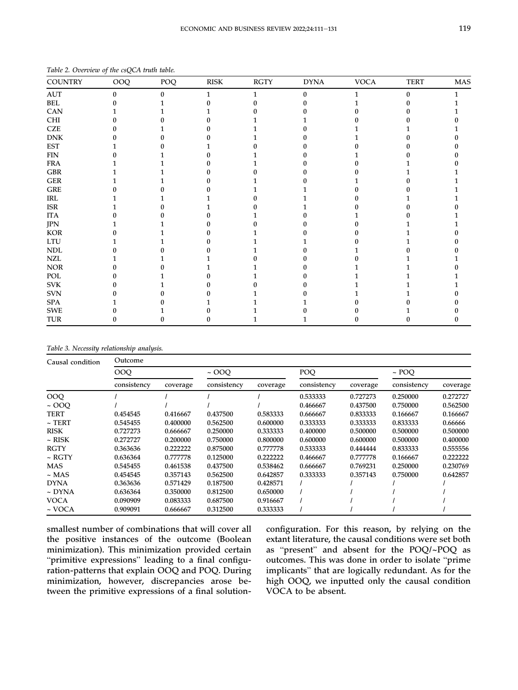| <b>COUNTRY</b>                     | OOQ          | POQ      | $\ensuremath{\text{RISK}}$ | $\operatorname{RGTY}$ | $\mathbf{D}\mathbf{Y}\mathbf{N}\mathbf{A}$ | $\rm VOCA$   | <b>TERT</b> | MAS |
|------------------------------------|--------------|----------|----------------------------|-----------------------|--------------------------------------------|--------------|-------------|-----|
| $\mathbf{A}\mathbf{U}\mathbf{T}$   | $\mathbf{0}$ | $\theta$ | $\mathbf{1}$               | $\mathbf{1}$          | $\bf{0}$                                   | $\mathbf{1}$ | $\bf{0}$    | 1   |
| BEL                                |              |          |                            |                       | n                                          |              |             |     |
| ${\rm CAN}$                        |              |          |                            |                       |                                            |              |             |     |
| $\mathop{\rm CHI}\nolimits$        |              |          |                            |                       |                                            |              |             |     |
| ${\rm CZE}$                        |              |          |                            |                       |                                            |              |             |     |
| ${\rm DNK}$                        |              |          |                            |                       |                                            |              |             |     |
| <b>EST</b>                         |              |          |                            |                       |                                            |              |             |     |
| ${\rm FIN}$                        |              |          |                            |                       |                                            |              |             |     |
| FRA                                |              |          |                            |                       |                                            |              |             |     |
| ${\sf GBR}$                        |              |          |                            |                       |                                            |              |             |     |
| ${\tt GER}$                        |              |          |                            |                       |                                            |              |             |     |
| ${\sf GRE}$                        |              |          |                            |                       |                                            |              |             |     |
| $\ensuremath{\mathsf{IRL}}\xspace$ |              |          |                            |                       |                                            |              |             |     |
| $_{\rm ISR}$                       |              |          |                            |                       |                                            |              |             |     |
| <b>ITA</b>                         |              |          |                            |                       |                                            |              |             |     |
| $\rm JPN$                          |              |          |                            |                       |                                            |              |             |     |
| $\rm KOR$                          |              |          |                            |                       |                                            |              |             |     |
| ${\rm L} {\rm T} {\rm U}$          |              |          |                            |                       |                                            |              |             |     |
| $\ensuremath{\mathsf{NDL}}$        |              |          |                            |                       |                                            |              |             |     |
| $\sf NZL$                          |              |          |                            |                       |                                            |              |             |     |
| $\rm{NOR}$                         |              |          |                            |                       |                                            |              |             |     |
| $\operatorname{POL}$               |              |          |                            |                       |                                            |              |             |     |
| ${\rm SVK}$                        |              |          |                            |                       |                                            |              |             |     |
| $\mathbf{S}\mathbf{V}\mathbf{N}$   |              |          |                            |                       |                                            |              |             |     |
| $\rm SPA$                          |              |          |                            |                       |                                            |              |             |     |
| ${\sf SWE}$                        |              |          |                            |                       |                                            |              |             |     |
| $\ensuremath{\mathsf{TUR}}$        |              | 0        |                            |                       |                                            |              | 0           |     |

<span id="page-9-0"></span>Table 2. Overview of the csQCA truth table.

<span id="page-9-1"></span>Table 3. Necessity relationship analysis.

| Causal condition | Outcome     |          |             |          |             |                 |             |            |  |
|------------------|-------------|----------|-------------|----------|-------------|-----------------|-------------|------------|--|
|                  | OOQ.        |          | $\sim$ 000  |          |             | PO <sub>O</sub> |             | $\sim$ POO |  |
|                  | consistency | coverage | consistency | coverage | consistency | coverage        | consistency | coverage   |  |
| OOQ.             |             |          |             |          | 0.533333    | 0.727273        | 0.250000    | 0.272727   |  |
| $\sim$ 000       |             |          |             |          | 0.466667    | 0.437500        | 0.750000    | 0.562500   |  |
| TERT             | 0.454545    | 0.416667 | 0.437500    | 0.583333 | 0.666667    | 0.833333        | 0.166667    | 0.166667   |  |
| $\sim$ TERT      | 0.545455    | 0.400000 | 0.562500    | 0.600000 | 0.333333    | 0.333333        | 0.833333    | 0.66666    |  |
| <b>RISK</b>      | 0.727273    | 0.666667 | 0.250000    | 0.333333 | 0.400000    | 0.500000        | 0.500000    | 0.500000   |  |
| $\sim$ RISK      | 0.272727    | 0.200000 | 0.750000    | 0.800000 | 0.600000    | 0.600000        | 0.500000    | 0.400000   |  |
| <b>RGTY</b>      | 0.363636    | 0.222222 | 0.875000    | 0.777778 | 0.533333    | 0.444444        | 0.833333    | 0.555556   |  |
| ~ RGTY           | 0.636364    | 0.777778 | 0.125000    | 0.222222 | 0.466667    | 0.777778        | 0.166667    | 0.222222   |  |
| MAS              | 0.545455    | 0.461538 | 0.437500    | 0.538462 | 0.666667    | 0.769231        | 0.250000    | 0.230769   |  |
| $~\sim$ MAS      | 0.454545    | 0.357143 | 0.562500    | 0.642857 | 0.333333    | 0.357143        | 0.750000    | 0.642857   |  |
| <b>DYNA</b>      | 0.363636    | 0.571429 | 0.187500    | 0.428571 |             |                 |             |            |  |
| $\sim$ DYNA      | 0.636364    | 0.350000 | 0.812500    | 0.650000 |             |                 |             |            |  |
| <b>VOCA</b>      | 0.090909    | 0.083333 | 0.687500    | 0.916667 |             |                 |             |            |  |
| $\sim$ VOCA      | 0.909091    | 0.666667 | 0.312500    | 0.333333 |             |                 |             |            |  |

smallest number of combinations that will cover all the positive instances of the outcome (Boolean "minimization). This minimization provided certain primitive expressions" leading to a final configuration-patterns that explain OOQ and POQ. During minimization, however, discrepancies arose between the primitive expressions of a final solutionconfiguration. For this reason, by relying on the extant literature, the causal conditions were set both coninguration. For this reason, by relying on the<br>extant literature, the causal conditions were set both<br>as "present" and absent for the POQ/~POQ as extant inerature, the causal conditions were set both<br>as "present" and absent for the POQ/~POQ as<br>outcomes. This was done in order to isolate "prime as present and absent for the POQ/~POQ as<br>outcomes. This was done in order to isolate "prime<br>implicants" that are logically redundant. As for the high OOQ, we inputted only the causal condition VOCA to be absent.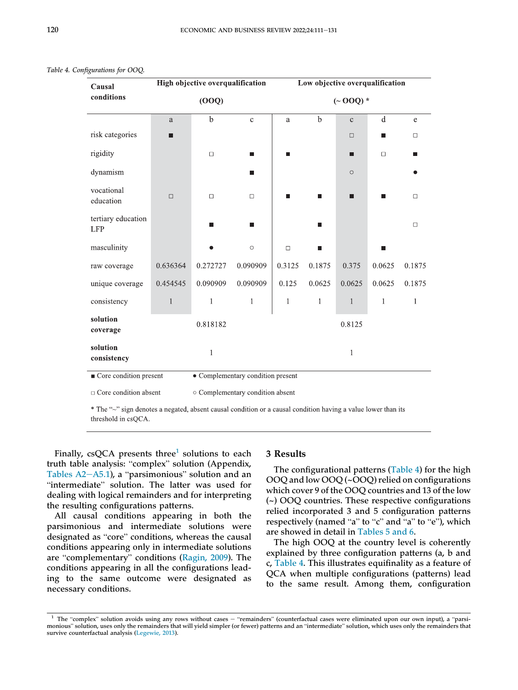| Causal                                                           | High objective overqualification | Low objective overqualification |                                   |              |                  |              |              |              |  |  |
|------------------------------------------------------------------|----------------------------------|---------------------------------|-----------------------------------|--------------|------------------|--------------|--------------|--------------|--|--|
| conditions                                                       | (OOQ)                            |                                 |                                   |              | $({\sim} 000)$ * |              |              |              |  |  |
|                                                                  | $\rm{a}$                         | b                               | $\rm{c}$                          | a            | b                | $\mathbf{C}$ | d            | $\mathbf e$  |  |  |
| risk categories                                                  | П                                |                                 |                                   |              |                  | $\Box$       | П            | $\Box$       |  |  |
| rigidity                                                         |                                  | $\Box$                          | П                                 | П            |                  | п            | $\Box$       | п            |  |  |
| dynamism                                                         |                                  |                                 | H                                 |              |                  | $\circ$      |              |              |  |  |
| vocational<br>education                                          | $\Box$                           | $\Box$                          | $\Box$                            |              | П                | п            | П            | $\Box$       |  |  |
| tertiary education<br>LFP                                        |                                  | H                               | П                                 |              | П                |              |              | $\Box$       |  |  |
| masculinity                                                      |                                  |                                 | $\circ$                           | $\Box$       | П                |              | П            |              |  |  |
| raw coverage                                                     | 0.636364                         | 0.272727                        | 0.090909                          | 0.3125       | 0.1875           | 0.375        | 0.0625       | 0.1875       |  |  |
| unique coverage                                                  | 0.454545                         | 0.090909                        | 0.090909                          | 0.125        | 0.0625           | 0.0625       | 0.0625       | 0.1875       |  |  |
| consistency                                                      | $\mathbf{1}$                     | 1                               | 1                                 | $\mathbf{1}$ | $\mathbf{1}$     | $\mathbf{1}$ | $\mathbf{1}$ | $\mathbf{1}$ |  |  |
| solution<br>coverage                                             |                                  | 0.818182                        |                                   |              |                  | 0.8125       |              |              |  |  |
| solution<br>consistency                                          | 1<br>$\mathbf{1}$                |                                 |                                   |              |                  |              |              |              |  |  |
| Core condition present                                           |                                  |                                 | • Complementary condition present |              |                  |              |              |              |  |  |
| $\Box$ Core condition absent<br>o Complementary condition absent |                                  |                                 |                                   |              |                  |              |              |              |  |  |

<span id="page-10-1"></span>Table 4. Configurations for OOQ.

\* The "~" sign denotes a negated, absent causal condition or a causal condition having a value lower than its threshold in csOCA.

Finally, csQCA presents three<sup>[1](#page-10-0)</sup> solutions to each Finally, csQCA presents three<sup>1</sup> solutions to each truth table analysis: "complex" solution (Appendix, Finany, csQCA presents three solutions to each<br>truth table analysis: "complex" solution (Appendix,<br>[Tables A2](#page-19-0)–[A5.1\)](#page-19-0), a "parsimonious" solution and an ruth table analysis: complex solution (Appendix,<br>
Tables A2–A5.1), a "parsimonious" solution and an<br>intermediate" solution. The latter was used for dealing with logical remainders and for interpreting the resulting configurations patterns.

All causal conditions appearing in both the parsimonious and intermediate solutions were designated as "core" conditions, whereas the causal conditions appearing only in intermediate solutions are "complementary" conditions ([Ragin, 2009](#page-17-31)). The conditions appearing in all the configurations leading to the same outcome were designated as necessary conditions.

#### 3 Results

The configurational patterns ([Table 4](#page-10-1)) for the high OOQ and low OOQ (~OOQ) relied on configurations which cover 9 of the OOQ countries and 13 of the low (~) OOQ countries. These respective configurations (~) OOQ countries. These respective comigurations<br>relied incorporated 3 and 5 configuration patterns<br>respectively (named "a" to "c" and "a" to "e"), which are showed in detail in [Tables 5 and 6.](#page-11-0)

The high OOQ at the country level is coherently explained by three configuration patterns (a, b and c, [Table 4.](#page-10-1) This illustrates equifinality as a feature of QCA when multiple configurations (patterns) lead to the same result. Among them, configuration

<span id="page-10-0"></span><sup>&</sup>lt;sup>1</sup> The "complex" solution avoids using any rows without cases  $-$  "remainders" (counterfactual cases were eliminated upon our own input), a "parsimonious" solution, uses only the remainders that will yield simpler (or fewer) patterns and an "intermediate" solution, which uses only the remainders that survive counterfactual analysis ([Legewie, 2013](#page-17-32)).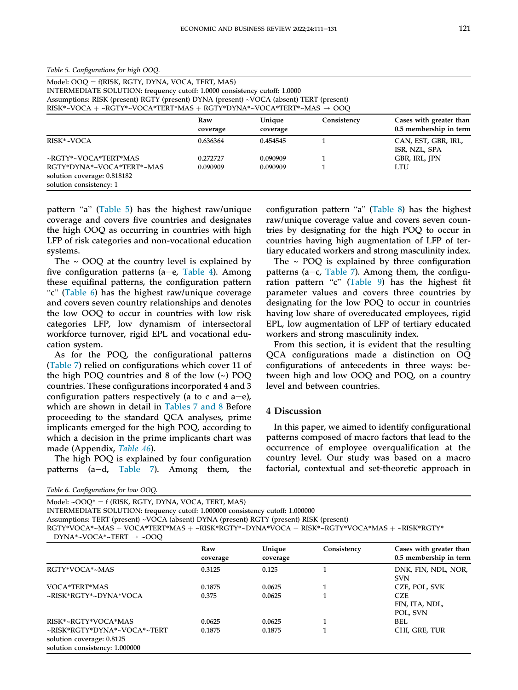<span id="page-11-0"></span>

|  |  |  | Table 5. Configurations for high OOQ. |  |  |
|--|--|--|---------------------------------------|--|--|
|--|--|--|---------------------------------------|--|--|

| Model: $OOO = f(RISK, RGTY, DYNA, VOCA, TERT, MAS)$                                                             |
|-----------------------------------------------------------------------------------------------------------------|
| INTERMEDIATE SOLUTION: frequency cutoff: 1.0000 consistency cutoff: 1.0000                                      |
| Assumptions: RISK (present) RGTY (present) DYNA (present) ~VOCA (absent) TERT (present)                         |
| $RISK^* \sim VOCA + \sim RGTY^* \sim VOCA^*TERT^*MAS + RGTY^*DYNA^* \sim VOCA^*TERT^* \sim MAS \rightarrow OOO$ |

|                                                                                     | Raw<br>coverage | Unique<br>coverage | Consistency | Cases with greater than<br>0.5 membership in term |
|-------------------------------------------------------------------------------------|-----------------|--------------------|-------------|---------------------------------------------------|
| RISK*~VOCA                                                                          | 0.636364        | 0.454545           |             | CAN, EST, GBR, IRL,<br>ISR, NZL, SPA              |
| ~RGTY*~VOCA*TERT*MAS                                                                | 0.272727        | 0.090909           |             | GBR, IRL, IPN                                     |
| RGTY*DYNA*~VOCA*TERT*~MAS<br>solution coverage: 0.818182<br>solution consistency: 1 | 0.090909        | 0.090909           |             | LTU                                               |

pattern "a" ([Table 5](#page-11-0)) has the highest raw/unique coverage and covers five countries and designates the high OOQ as occurring in countries with high LFP of risk categories and non-vocational education systems.

The ~ OOQ at the country level is explained by five configuration patterns  $(a-e, Table 4)$  $(a-e, Table 4)$  $(a-e, Table 4)$ . Among these equifinal patterns, the configuration pattern "c" ([Table 6\)](#page-11-1) has the highest raw/unique coverage and covers seven country relationships and denotes the low OOQ to occur in countries with low risk categories LFP, low dynamism of intersectoral workforce turnover, rigid EPL and vocational education system.

As for the POQ, the configurational patterns [\(Table 7](#page-12-0)) relied on configurations which cover 11 of the high POQ countries and 8 of the low (~) POQ countries. These configurations incorporated 4 and 3 configuration patters respectively (a to c and  $a-e$ ), which are shown in detail in [Tables 7 and 8](#page-12-0) Before proceeding to the standard QCA analyses, prime implicants emerged for the high POQ, according to which a decision in the prime implicants chart was made (Appendix, [Table](#page-21-0) A6).

The high POQ is explained by four configuration patterns  $(a-d, Table 7)$  $(a-d, Table 7)$  $(a-d, Table 7)$ . Among them, the configuration pattern "a" [\(Table 8](#page-12-1)) has the highest raw/unique coverage value and covers seven countries by designating for the high POQ to occur in countries having high augmentation of LFP of tertiary educated workers and strong masculinity index.

The ~ POQ is explained by three configuration The  $\approx$  POQ is explained by three comiguration<br>patterns (a-c, [Table 7](#page-12-0)). Among them, the configu-<br>ration pattern "c" [\(Table 9](#page-13-0)) has the highest fit parameter values and covers three countries by designating for the low POQ to occur in countries having low share of overeducated employees, rigid EPL, low augmentation of LFP of tertiary educated workers and strong masculinity index.

From this section, it is evident that the resulting QCA configurations made a distinction on OQ configurations of antecedents in three ways: between high and low OOQ and POQ, on a country level and between countries.

#### 4 Discussion

In this paper, we aimed to identify configurational patterns composed of macro factors that lead to the occurrence of employee overqualification at the country level. Our study was based on a macro factorial, contextual and set-theoretic approach in

<span id="page-11-1"></span>Table 6. Configurations for low OOQ.

Model:  $\sim$  OOO $^*$  = f (RISK, RGTY, DYNA, VOCA, TERT, MAS)

INTERMEDIATE SOLUTION: frequency cutoff: 1.000000 consistency cutoff: 1.000000

Assumptions: TERT (present) ~VOCA (absent) DYNA (present) RGTY (present) RISK (present)

RGTY\*VOCA\*~MAS + VOCA\*TERT\*MAS + ~RISK\*RGTY\*~DYNA\*VOCA + RISK\*~RGTY\*VOCA\*MAS + ~RISK\*RGTY\*

 $DYNA^*~VOCA^*~TERT \rightarrow ~$ 

|                                                                                            | Raw<br>coverage | Unique<br>coverage | Consistency | Cases with greater than<br>0.5 membership in term |
|--------------------------------------------------------------------------------------------|-----------------|--------------------|-------------|---------------------------------------------------|
| RGTY*VOCA*~MAS                                                                             | 0.3125          | 0.125              |             | DNK, FIN, NDL, NOR,<br><b>SVN</b>                 |
| <b>VOCA*TERT*MAS</b>                                                                       | 0.1875          | 0.0625             |             | CZE, POL, SVK                                     |
| ~RISK*RGTY*~DYNA*VOCA                                                                      | 0.375           | 0.0625             |             | <b>CZE</b><br>FIN, ITA, NDL,<br>POL, SVN          |
| RISK*~RGTY*VOCA*MAS                                                                        | 0.0625          | 0.0625             |             | BEL                                               |
| ~RISK*RGTY*DYNA*~VOCA*~TERT<br>solution coverage: 0.8125<br>solution consistency: 1.000000 | 0.1875          | 0.1875             |             | CHI, GRE, TUR                                     |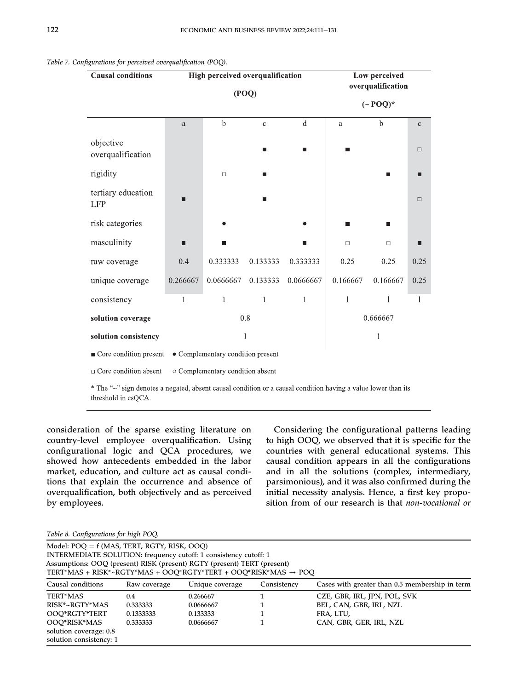| <b>Causal conditions</b>              |                                  | High perceived overqualification  | Low perceived<br>overqualification |              |              |                  |             |
|---------------------------------------|----------------------------------|-----------------------------------|------------------------------------|--------------|--------------|------------------|-------------|
|                                       |                                  |                                   | (POQ)                              |              |              |                  |             |
|                                       |                                  |                                   |                                    |              |              | $({\sim}~POQ)^*$ |             |
|                                       | a                                | b                                 | $\mathbf{c}$                       | $\mathbf d$  | a            | $\mathbf b$      | $\mathbf c$ |
| objective<br>overqualification        |                                  |                                   |                                    |              | $\Box$       |                  |             |
| rigidity                              |                                  | $\Box$                            |                                    |              |              |                  | ш           |
| tertiary education<br><b>LFP</b>      | П                                |                                   |                                    |              |              |                  | $\Box$      |
| risk categories                       |                                  |                                   |                                    |              |              | П                |             |
| masculinity                           | П                                | П                                 |                                    | п            | $\Box$       | $\Box$           | П           |
| raw coverage                          | 0.4                              | 0.333333                          | 0.133333                           | 0.333333     | 0.25         | 0.25             | 0.25        |
| unique coverage                       | 0.266667                         | 0.0666667                         | 0.133333                           | 0.0666667    | 0.166667     | 0.166667         | 0.25        |
| consistency                           | 1                                | $\mathbf{1}$                      | $\mathbf{1}$                       | $\mathbf{1}$ | 1            | 1                | 1           |
| solution coverage                     |                                  |                                   | 0.8                                |              | 0.666667     |                  |             |
| solution consistency                  |                                  |                                   | $\mathbf{1}$                       |              | $\mathbf{1}$ |                  |             |
| $\blacksquare$ Core condition present |                                  | • Complementary condition present |                                    |              |              |                  |             |
| □ Core condition absent               | ○ Complementary condition absent |                                   |                                    |              |              |                  |             |

<span id="page-12-0"></span>Table 7. Configurations for perceived overqualification (POQ).

\* The "~" sign denotes a negated, absent causal condition or a causal condition having a value lower than its threshold in csOCA.

consideration of the sparse existing literature on country-level employee overqualification. Using configurational logic and QCA procedures, we showed how antecedents embedded in the labor market, education, and culture act as causal conditions that explain the occurrence and absence of overqualification, both objectively and as perceived by employees.

Considering the configurational patterns leading to high OOQ, we observed that it is specific for the countries with general educational systems. This causal condition appears in all the configurations and in all the solutions (complex, intermediary, parsimonious), and it was also confirmed during the initial necessity analysis. Hence, a first key proposition from of our research is that non-vocational or

<span id="page-12-1"></span>Table 8. Configurations for high POQ.

| Model: $POO = f$ (MAS, TERT, RGTY, RISK, OOO)<br>INTERMEDIATE SOLUTION: frequency cutoff: 1 consistency cutoff: 1<br>Assumptions: OOQ (present) RISK (present) RGTY (present) TERT (present)<br>TERT*MAS + RISK*~RGTY*MAS + OOQ*RGTY*TERT + OOQ*RISK*MAS $\rightarrow$ POQ |              |                 |             |                                                |  |  |  |  |
|----------------------------------------------------------------------------------------------------------------------------------------------------------------------------------------------------------------------------------------------------------------------------|--------------|-----------------|-------------|------------------------------------------------|--|--|--|--|
| Causal conditions                                                                                                                                                                                                                                                          | Raw coverage | Unique coverage | Consistency | Cases with greater than 0.5 membership in term |  |  |  |  |
| <b>TERT*MAS</b>                                                                                                                                                                                                                                                            | 0.4          | 0.266667        |             | CZE, GBR, IRL, IPN, POL, SVK                   |  |  |  |  |
| RISK*~RGTY*MAS                                                                                                                                                                                                                                                             | 0.333333     | 0.0666667       |             | BEL, CAN, GBR, IRL, NZL                        |  |  |  |  |
| OOO*RGTY*TERT                                                                                                                                                                                                                                                              | 0.1333333    | 0.133333        |             | FRA, LTU,                                      |  |  |  |  |
| OOO*RISK*MAS                                                                                                                                                                                                                                                               | 0.333333     | 0.0666667       |             | CAN, GBR, GER, IRL, NZL                        |  |  |  |  |
| solution coverage: 0.8<br>solution consistency: 1                                                                                                                                                                                                                          |              |                 |             |                                                |  |  |  |  |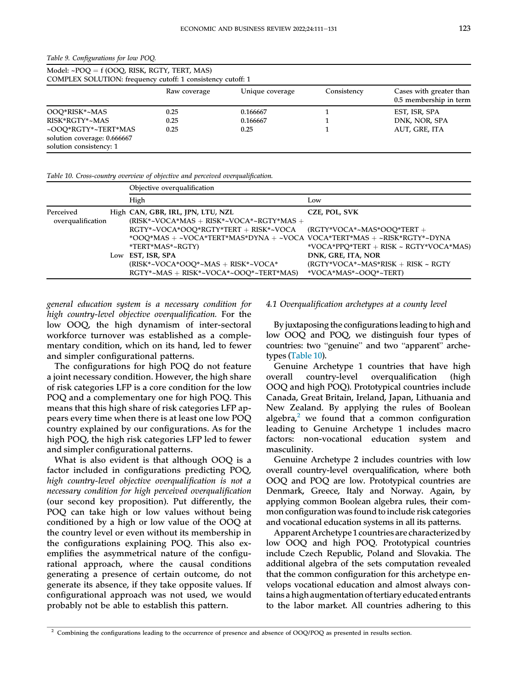<span id="page-13-0"></span>

|  |  | Table 9. Configurations for low POQ. |  |  |
|--|--|--------------------------------------|--|--|
|--|--|--------------------------------------|--|--|

Model: ~POQ = f (OOQ, RISK, RGTY, TERT, MAS) COMPLEX SOLUTION: frequency cutoff: 1 consistency cutoff: 1

|                             | Raw coverage | Unique coverage | Consistency | Cases with greater than<br>0.5 membership in term |
|-----------------------------|--------------|-----------------|-------------|---------------------------------------------------|
| OOO*RISK*~MAS               | 0.25         | 0.166667        |             | EST, ISR, SPA                                     |
| RISK*RGTY*~MAS              | 0.25         | 0.166667        |             | DNK, NOR, SPA                                     |
| ~OOQ*RGTY*~TERT*MAS         | 0.25         | 0.25            |             | AUT, GRE, ITA                                     |
| solution coverage: 0.666667 |              |                 |             |                                                   |
| solution consistency: 1     |              |                 |             |                                                   |

<span id="page-13-1"></span>Table 10. Cross-country overview of objective and perceived overqualification.

|                                |     | Objective overqualification                                                                                                          |                                                                                      |  |  |  |  |  |  |  |
|--------------------------------|-----|--------------------------------------------------------------------------------------------------------------------------------------|--------------------------------------------------------------------------------------|--|--|--|--|--|--|--|
|                                |     | High                                                                                                                                 | Low                                                                                  |  |  |  |  |  |  |  |
| Perceived<br>overqualification |     | High CAN, GBR, IRL, JPN, LTU, NZL<br>$(RISK*-VOCA*MAS + RISK*-VOCA*-RGTY*MAS +$                                                      | CZE, POL, SVK                                                                        |  |  |  |  |  |  |  |
|                                |     | RGTY*~VOCA*OOO*RGTY*TERT + RISK*~VOCA<br>*OOQ*MAS + ~VOCA*TERT*MAS*DYNA + ~VOCA VOCA*TERT*MAS + ~RISK*RGTY*~DYNA<br>*TERT*MAS*~RGTY) | $(RGTY*VOCA*-MAS*OOQ*TERT +$<br>*VOCA*PPO*TERT + RISK ~ RGTY*VOCA*MAS)               |  |  |  |  |  |  |  |
|                                | Low | EST, ISR, SPA<br>(RISK*~VOCA*OOQ*~MAS + RISK*~VOCA*<br>$RGTY^*$ ~ $MAS + RISK^*$ ~ $VOCA^*$ ~ $OOO^*$ ~ $TERT^*MAS)$                 | DNK, GRE, ITA, NOR<br>$(RGTY*VOCA*-MAS*RISK + RISK - RGTY)$<br>*VOCA*MAS*~OOO*~TERT) |  |  |  |  |  |  |  |

general education system is a necessary condition for high country-level objective overqualification. For the low OOQ, the high dynamism of inter-sectoral workforce turnover was established as a complementary condition, which on its hand, led to fewer and simpler configurational patterns.

The configurations for high POQ do not feature a joint necessary condition. However, the high share of risk categories LFP is a core condition for the low POQ and a complementary one for high POQ. This means that this high share of risk categories LFP appears every time when there is at least one low POQ country explained by our configurations. As for the high POQ, the high risk categories LFP led to fewer and simpler configurational patterns.

What is also evident is that although OOQ is a factor included in configurations predicting POQ, high country-level objective overqualification is not a necessary condition for high perceived overqualification (our second key proposition). Put differently, the POQ can take high or low values without being conditioned by a high or low value of the OOQ at the country level or even without its membership in the configurations explaining POQ. This also exemplifies the asymmetrical nature of the configurational approach, where the causal conditions generating a presence of certain outcome, do not generate its absence, if they take opposite values. If configurational approach was not used, we would probably not be able to establish this pattern.

#### 4.1 Overqualification archetypes at a county level

By juxtaposing the configurations leading to high and low OOQ and POQ, we distinguish four types of countries: two "genuine" and two "apparent" archetypes [\(Table 10](#page-13-1)).

Genuine Archetype 1 countries that have high overall country-level overqualification (high OOQ and high POQ). Prototypical countries include Canada, Great Britain, Ireland, Japan, Lithuania and New Zealand. By applying the rules of Boolean algebra, $\lambda$  we found that a common configuration leading to Genuine Archetype 1 includes macro factors: non-vocational education system and masculinity.

Genuine Archetype 2 includes countries with low overall country-level overqualification, where both OOQ and POQ are low. Prototypical countries are Denmark, Greece, Italy and Norway. Again, by applying common Boolean algebra rules, their common configuration was found to include risk categories and vocational education systems in all its patterns.

Apparent Archetype 1 countries are characterized by low OOQ and high POQ. Prototypical countries include Czech Republic, Poland and Slovakia. The additional algebra of the sets computation revealed that the common configuration for this archetype envelops vocational education and almost always contains a high augmentation of tertiary educated entrants to the labor market. All countries adhering to this

<span id="page-13-2"></span><sup>2</sup> Combining the configurations leading to the occurrence of presence and absence of OOQ/POQ as presented in results section.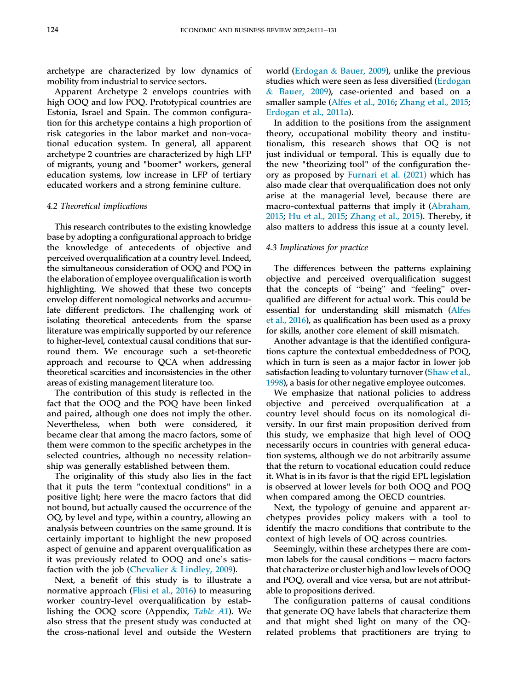archetype are characterized by low dynamics of mobility from industrial to service sectors.

Apparent Archetype 2 envelops countries with high OOQ and low POQ. Prototypical countries are Estonia, Israel and Spain. The common configuration for this archetype contains a high proportion of risk categories in the labor market and non-vocational education system. In general, all apparent archetype 2 countries are characterized by high LFP of migrants, young and "boomer" workers, general education systems, low increase in LFP of tertiary educated workers and a strong feminine culture.

#### 4.2 Theoretical implications

This research contributes to the existing knowledge base by adopting a configurational approach to bridge the knowledge of antecedents of objective and perceived overqualification at a country level. Indeed, the simultaneous consideration of OOQ and POQ in the elaboration of employee overqualification is worth highlighting. We showed that these two concepts envelop different nomological networks and accumulate different predictors. The challenging work of isolating theoretical antecedents from the sparse literature was empirically supported by our reference to higher-level, contextual causal conditions that surround them. We encourage such a set-theoretic approach and recourse to QCA when addressing theoretical scarcities and inconsistencies in the other areas of existing management literature too.

The contribution of this study is reflected in the fact that the OOQ and the POQ have been linked and paired, although one does not imply the other. Nevertheless, when both were considered, it became clear that among the macro factors, some of them were common to the specific archetypes in the selected countries, although no necessity relationship was generally established between them.

The originality of this study also lies in the fact that it puts the term "contextual conditions" in a positive light; here were the macro factors that did not bound, but actually caused the occurrence of the OQ, by level and type, within a country, allowing an analysis between countries on the same ground. It is certainly important to highlight the new proposed aspect of genuine and apparent overqualification as it was previously related to OOQ and one's satisfaction with the job [\(Chevalier](#page-16-21) & [Lindley, 2009\)](#page-16-21).

Next, a benefit of this study is to illustrate a normative approach [\(Flisi et al., 2016](#page-16-22)) to measuring worker country-level overqualification by establishing the OOQ score (Appendix, [Table A1](#page-18-0)). We also stress that the present study was conducted at the cross-national level and outside the Western

world ([Erdogan](#page-16-5) & [Bauer, 2009\)](#page-16-5), unlike the previous studies which were seen as less diversified ([Erdogan](#page-16-5) & [Bauer, 2009\)](#page-16-5), case-oriented and based on a smaller sample [\(Alfes et al., 2016](#page-16-0); [Zhang et al., 2015;](#page-17-3) [Erdogan et al., 2011a\)](#page-16-9).

In addition to the positions from the assignment theory, occupational mobility theory and institutionalism, this research shows that OQ is not just individual or temporal. This is equally due to the new "theorizing tool" of the configuration theory as proposed by [Furnari et al. \(2021\)](#page-16-8) which has also made clear that overqualification does not only arise at the managerial level, because there are macro-contextual patterns that imply it [\(Abraham,](#page-15-0) [2015](#page-15-0); [Hu et al., 2015](#page-16-23); [Zhang et al., 2015\)](#page-17-3). Thereby, it also matters to address this issue at a county level.

#### 4.3 Implications for practice

The differences between the patterns explaining objective and perceived overqualification suggest that the concepts of "being" and "feeling" overqualified are different for actual work. This could be essential for understanding skill mismatch ([Alfes](#page-16-0) [et al., 2016\)](#page-16-0), as qualification has been used as a proxy for skills, another core element of skill mismatch.

Another advantage is that the identified configurations capture the contextual embeddedness of POQ, which in turn is seen as a major factor in lower job satisfaction leading to voluntary turnover ([Shaw et al.,](#page-17-25) [1998\)](#page-17-25), a basis for other negative employee outcomes.

We emphasize that national policies to address objective and perceived overqualification at a country level should focus on its nomological diversity. In our first main proposition derived from this study, we emphasize that high level of OOQ necessarily occurs in countries with general education systems, although we do not arbitrarily assume that the return to vocational education could reduce it. What is in its favor is that the rigid EPL legislation is observed at lower levels for both OOQ and POQ when compared among the OECD countries.

Next, the typology of genuine and apparent archetypes provides policy makers with a tool to identify the macro conditions that contribute to the context of high levels of OQ across countries.

Seemingly, within these archetypes there are common labels for the causal conditions  $-$  macro factors that characterize or cluster high and low levels of OOQ and POQ, overall and vice versa, but are not attributable to propositions derived.

The configuration patterns of causal conditions that generate OQ have labels that characterize them and that might shed light on many of the OQrelated problems that practitioners are trying to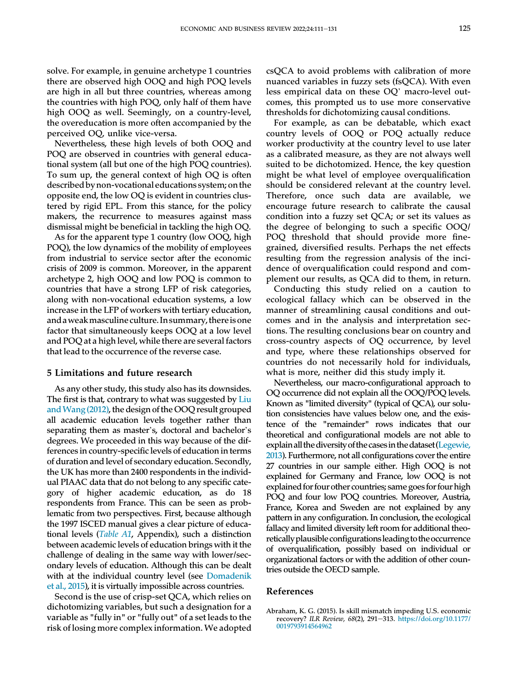solve. For example, in genuine archetype 1 countries there are observed high OOQ and high POQ levels are high in all but three countries, whereas among the countries with high POQ, only half of them have high OOQ as well. Seemingly, on a country-level, the overeducation is more often accompanied by the perceived OQ, unlike vice-versa.

Nevertheless, these high levels of both OOQ and POQ are observed in countries with general educational system (all but one of the high POQ countries). To sum up, the general context of high OQ is often described by non-vocational educations system; on the opposite end, the low OQ is evident in countries clustered by rigid EPL. From this stance, for the policy makers, the recurrence to measures against mass dismissal might be beneficial in tackling the high OQ.

As for the apparent type 1 country (low OOQ, high POQ), the low dynamics of the mobility of employees from industrial to service sector after the economic crisis of 2009 is common. Moreover, in the apparent archetype 2, high OOQ and low POQ is common to countries that have a strong LFP of risk categories, along with non-vocational education systems, a low increase in the LFP of workers with tertiary education, and aweakmasculineculture. Insummary, thereis one factor that simultaneously keeps OOQ at a low level and POQ at a high level, while there are several factors that lead to the occurrence of the reverse case.

#### 5 Limitations and future research

As any other study, this study also has its downsides. The first is that, contrary to what was suggested by [Liu](#page-17-12) [andWang \(2012\)](#page-17-12), the design of the OOQ result grouped all academic education levels together rather than separating them as master's, doctoral and bachelor'<sup>s</sup> degrees. We proceeded in this way because of the differences in country-specific levels of education in terms of duration and level of secondary education. Secondly, the UK has more than 2400 respondents in the individual PIAAC data that do not belong to any specific category of higher academic education, as do 18 respondents from France. This can be seen as problematic from two perspectives. First, because although the 1997 ISCED manual gives a clear picture of educational levels ([Table A1](#page-18-0), Appendix), such a distinction between academic levels of education brings with it the challenge of dealing in the same way with lower/secondary levels of education. Although this can be dealt with at the individual country level (see [Domadenik](#page-16-37) [et al., 2015\)](#page-16-37), it is virtually impossible across countries.

Second is the use of crisp-set QCA, which relies on dichotomizing variables, but such a designation for a variable as "fully in" or "fully out" of a set leads to the risk of losing more complex information. We adopted csQCA to avoid problems with calibration of more nuanced variables in fuzzy sets (fsQCA). With even less empirical data on these OQ' macro-level outcomes, this prompted us to use more conservative thresholds for dichotomizing causal conditions.

For example, as can be debatable, which exact country levels of OOQ or POQ actually reduce worker productivity at the country level to use later as a calibrated measure, as they are not always well suited to be dichotomized. Hence, the key question might be what level of employee overqualification should be considered relevant at the country level. Therefore, once such data are available, we encourage future research to calibrate the causal condition into a fuzzy set QCA; or set its values as the degree of belonging to such a specific OOQ/ POQ threshold that should provide more finegrained, diversified results. Perhaps the net effects resulting from the regression analysis of the incidence of overqualification could respond and complement our results, as QCA did to them, in return.

Conducting this study relied on a caution to ecological fallacy which can be observed in the manner of streamlining causal conditions and outcomes and in the analysis and interpretation sections. The resulting conclusions bear on country and cross-country aspects of OQ occurrence, by level and type, where these relationships observed for countries do not necessarily hold for individuals, what is more, neither did this study imply it.

Nevertheless, our macro-configurational approach to OQ occurrence did not explain all the OOQ/POQ levels. Known as "limited diversity" (typical of QCA), our solution consistencies have values below one, and the existence of the "remainder" rows indicates that our theoretical and configurational models are not able to explain all the diversity of the cases in the dataset [\(Legewie,](#page-17-32) [2013\)](#page-17-32). Furthermore, not all configurations cover the entire 27 countries in our sample either. High OOQ is not explained for Germany and France, low OOQ is not explained for four other countries; same goes for four high POQ and four low POQ countries. Moreover, Austria, France, Korea and Sweden are not explained by any pattern in any configuration. In conclusion, the ecological fallacy and limited diversity left room for additional theoretically plausible configurations leading to the occurrence of overqualification, possibly based on individual or organizational factors or with the addition of other countries outside the OECD sample.

#### References

<span id="page-15-0"></span>Abraham, K. G. (2015). Is skill mismatch impeding U.S. economic recovery? ILR Review, 68(2), 291-313. [https://doi.org/10.1177/](https://doi.org/10.1177/0019793914564962) [0019793914564962](https://doi.org/10.1177/0019793914564962)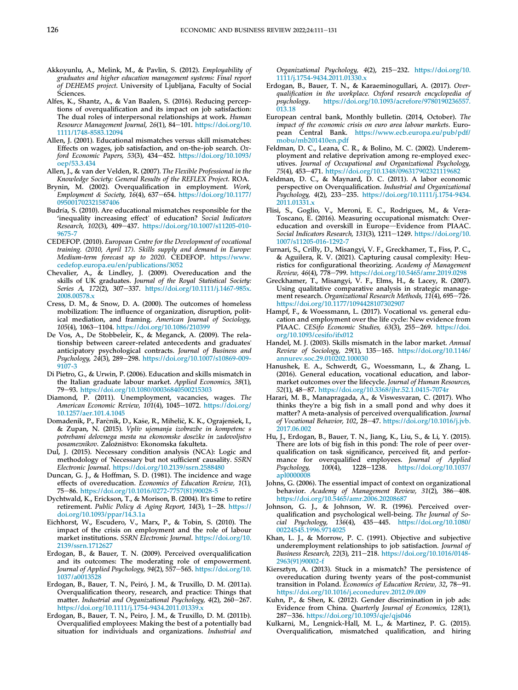- <span id="page-16-27"></span>Akkoyunlu, A., Melink, M., & Pavlin, S. (2012). Employability of graduates and higher education management systems: Final report of DEHEMS project. University of Ljubljana, Faculty of Social Sciences.
- <span id="page-16-0"></span>Alfes, K., Shantz, A., & Van Baalen, S. (2016). Reducing perceptions of overqualification and its impact on job satisfaction: The dual roles of interpersonal relationships at work. Human Resource Management Journal, 26(1), 84-101. [https://doi.org/10.](https://doi.org/10.1111/1748-8583.12094) [1111/1748-8583.12094](https://doi.org/10.1111/1748-8583.12094)
- <span id="page-16-4"></span>Allen, J. (2001). Educational mismatches versus skill mismatches: Effects on wages, job satisfaction, and on-the-job search. Oxford Economic Papers, 53(3), 434-452. [https://doi.org/10.1093/](https://doi.org/10.1093/oep/53.3.434) [oep/53.3.434](https://doi.org/10.1093/oep/53.3.434)
- <span id="page-16-7"></span>Allen, J., & van der Velden, R. (2007). The Flexible Professional in the Knowledge Society: General Results of the REFLEX Project. ROA.
- <span id="page-16-3"></span>Brynin, M. (2002). Overqualification in employment. Work, Employment & Society,  $16(4)$ , 637-654. [https://doi.org/10.1177/](https://doi.org/10.1177/095001702321587406) [095001702321587406](https://doi.org/10.1177/095001702321587406)
- <span id="page-16-12"></span>Budría, S. (2010). Are educational mismatches responsible for the 'inequality increasing effect' of education? Social Indicators Research, 102(3), 409–437. [https://doi.org/10.1007/s11205-010-](https://doi.org/10.1007/s11205-010-9675-7) [9675-7](https://doi.org/10.1007/s11205-010-9675-7)
- <span id="page-16-6"></span>CEDEFOP. (2010). European Centre for the Development of vocational training. (2010, April 17). Skills supply and demand in Europe: Medium-term forecast up to 2020. CEDEFOP. [https://www.](https://www.cedefop.europa.eu/en/publications/3052) [cedefop.europa.eu/en/publications/3052](https://www.cedefop.europa.eu/en/publications/3052)
- <span id="page-16-21"></span>Chevalier, A., & Lindley, J. (2009). Overeducation and the skills of UK graduates. Journal of the Royal Statistical Society: Series A, 172(2), 307-337. [https://doi.org/10.1111/j.1467-985x.](https://doi.org/10.1111/j.1467-985x.2008.00578.x) [2008.00578.x](https://doi.org/10.1111/j.1467-985x.2008.00578.x)
- <span id="page-16-34"></span>Cress, D. M., & Snow, D. A. (2000). The outcomes of homeless mobilization: The influence of organization, disruption, political mediation, and framing. American Journal of Sociology, 105(4), 1063-1104. <https://doi.org/10.1086/210399>
- <span id="page-16-32"></span>De Vos, A., De Stobbeleir, K., & Meganck, A. (2009). The relationship between career-related antecedents and graduates' anticipatory psychological contracts. Journal of Business and Psychology, 24(3), 289-298. [https://doi.org/10.1007/s10869-009-](https://doi.org/10.1007/s10869-009-9107-3) [9107-3](https://doi.org/10.1007/s10869-009-9107-3)
- <span id="page-16-2"></span>Di Pietro, G., & Urwin, P. (2006). Education and skills mismatch in the Italian graduate labour market. Applied Economics, 38(1), 79-93. <https://doi.org/10.1080/00036840500215303>
- <span id="page-16-26"></span>Diamond, P. (2011). Unemployment, vacancies, wages. The American Economic Review, 101(4), 1045-1072. [https://doi.org/](https://doi.org/10.1257/aer.101.4.1045) [10.1257/aer.101.4.1045](https://doi.org/10.1257/aer.101.4.1045)
- <span id="page-16-37"></span>Domadenik, P., Farčnik, D., Kaše, R., Mihelič, K. K., Ograjenšek, I., & Zupan, N. (2015). Vpliv ujemanja izobrazbe in kompetenc s potrebami delovnega mesta na ekonomske dosezke in zadovoljstvo posameznikov. Zaloznistvo: Ekonomska fakulteta.
- <span id="page-16-10"></span>Dul, J. (2015). Necessary condition analysis (NCA): Logic and methodology of 'Necessary but not sufficient' causality. SSRN Electronic Journal. <https://doi.org/10.2139/ssrn.2588480>
- <span id="page-16-13"></span>Duncan, G. J., & Hoffman, S. D. (1981). The incidence and wage effects of overeducation. Economics of Education Review, 1(1), 75e86. [https://doi.org/10.1016/0272-7757\(81\)90028-5](https://doi.org/10.1016/0272-7757(81)90028-5)
- <span id="page-16-31"></span>Dychtwald, K., Erickson, T., & Morison, B. (2004). It's time to retire retirement. Public Policy & Aging Report, 14(3), 1-28. [https://](https://doi.org/10.1093/ppar/14.3.1a) [doi.org/10.1093/ppar/14.3.1a](https://doi.org/10.1093/ppar/14.3.1a)
- <span id="page-16-25"></span>Eichhorst, W., Escudero, V., Marx, P., & Tobin, S. (2010). The impact of the crisis on employment and the role of labour market institutions. SSRN Electronic Journal. [https://doi.org/10.](https://doi.org/10.2139/ssrn.1712627) [2139/ssrn.1712627](https://doi.org/10.2139/ssrn.1712627)
- <span id="page-16-5"></span>Erdogan, B., & Bauer, T. N. (2009). Perceived overqualification and its outcomes: The moderating role of empowerment. Journal of Applied Psychology, 94(2), 557-565. [https://doi.org/10.](https://doi.org/10.1037/a0013528) [1037/a0013528](https://doi.org/10.1037/a0013528)
- <span id="page-16-9"></span>Erdogan, B., Bauer, T. N., Peiró, J. M., & Truxillo, D. M. (2011a). Overqualification theory, research, and practice: Things that matter. Industrial and Organizational Psychology, 4(2), 260-267. https://doi.org/10.1111/j.1754-9434.2011.01339.
- <span id="page-16-18"></span>Erdogan, B., Bauer, T. N., Peiro, J. M., & Truxillo, D. M. (2011b). Overqualified employees: Making the best of a potentially bad situation for individuals and organizations. Industrial and

<span id="page-16-38"></span>Organizational Psychology, 4(2), 215-232. [https://doi.org/10.](https://doi.org/10.1111/j.1754-9434.2011.01330.x) [1111/j.1754-9434.2011.01330.x](https://doi.org/10.1111/j.1754-9434.2011.01330.x)

- <span id="page-16-14"></span>Erdogan, B., Bauer, T. N., & Karaeminogullari, A. (2017). Overqualification in the workplace. Oxford research encyclopedia of psychology. https://doi.org/10.1093/acrefore/9780190236557. [https://doi.org/10.1093/acrefore/9780190236557.](https://doi.org/10.1093/acrefore/9780190236557.013.18) [013.18](https://doi.org/10.1093/acrefore/9780190236557.013.18)
- <span id="page-16-24"></span>European central bank, Monthly bulletin. (2014, October). The impact of the economic crisis on euro area labour markets. Euro-<br>pean Central Bank. https://www.ecb.europa.eu/pub/pdf/ [https://www.ecb.europa.eu/pub/pdf/](https://www.ecb.europa.eu/pub/pdf/mobu/mb201410en.pdf) [mobu/mb201410en.pdf](https://www.ecb.europa.eu/pub/pdf/mobu/mb201410en.pdf)
- <span id="page-16-33"></span>Feldman, D. C., Leana, C. R., & Bolino, M. C. (2002). Underemployment and relative deprivation among re-employed executives. Journal of Occupational and Organizational Psychology, 75(4), 453-471. <https://doi.org/10.1348/096317902321119682>
- <span id="page-16-15"></span>Feldman, D. C., & Maynard, D. C. (2011). A labor economic perspective on Overqualification. Industrial and Organizational Psychology, 4(2), 233-235. [https://doi.org/10.1111/j.1754-9434.](https://doi.org/10.1111/j.1754-9434.2011.01331.x) [2011.01331.x](https://doi.org/10.1111/j.1754-9434.2011.01331.x)
- <span id="page-16-22"></span>Flisi, S., Goglio, V., Meroni, E. C., Rodrigues, M., & Vera-Toscano, E. (2016). Measuring occupational mismatch: Overeducation and overskill in Europe-Evidence from PIAAC. Social Indicators Research, 131(3), 1211-1249. [https://doi.org/10.](https://doi.org/10.1007/s11205-016-1292-7) [1007/s11205-016-1292-7](https://doi.org/10.1007/s11205-016-1292-7)
- <span id="page-16-8"></span>Furnari, S., Crilly, D., Misangyi, V. F., Greckhamer, T., Fiss, P. C., & Aguilera, R. V. (2021). Capturing causal complexity: Heuristics for configurational theorizing. Academy of Management Review, 46(4), 778-799. <https://doi.org/10.5465/amr.2019.0298>
- <span id="page-16-36"></span>Greckhamer, T., Misangyi, V. F., Elms, H., & Lacey, R. (2007). Using qualitative comparative analysis in strategic management research. Organizational Research Methods, 11(4), 695-726. <https://doi.org/10.1177/1094428107302907>
- <span id="page-16-29"></span>Hampf, F., & Woessmann, L. (2017). Vocational vs. general education and employment over the life cycle: New evidence from PIAAC. CESifo Economic Studies, 63(3), 255-269. [https://doi.](https://doi.org/10.1093/cesifo/ifx012) [org/10.1093/cesifo/ifx012](https://doi.org/10.1093/cesifo/ifx012)
- <span id="page-16-1"></span>Handel, M. J. (2003). Skills mismatch in the labor market. Annual Review of Sociology, 29(1), 135-165. [https://doi.org/10.1146/](https://doi.org/10.1146/annurev.soc.29.010202.100030) [annurev.soc.29.010202.100030](https://doi.org/10.1146/annurev.soc.29.010202.100030)
- <span id="page-16-30"></span>Hanushek, E. A., Schwerdt, G., Woessmann, L., & Zhang, L. (2016). General education, vocational education, and labormarket outcomes over the lifecycle. Journal of Human Resources, 52(1), 48-87. <https://doi.org/10.3368/jhr.52.1.0415-7074r>
- <span id="page-16-19"></span>Harari, M. B., Manapragada, A., & Viswesvaran, C. (2017). Who thinks they're a big fish in a small pond and why does it matter? A meta-analysis of perceived overqualification. Journal of Vocational Behavior, 102, 28-47. [https://doi.org/10.1016/j.jvb.](https://doi.org/10.1016/j.jvb.2017.06.002) [2017.06.002](https://doi.org/10.1016/j.jvb.2017.06.002)
- <span id="page-16-23"></span>Hu, J., Erdogan, B., Bauer, T. N., Jiang, K., Liu, S., & Li, Y. (2015). There are lots of big fish in this pond: The role of peer overqualification on task significance, perceived fit, and performance for overqualified employees. Journal of Applied Psychology, 100(4), 1228–1238. https://doi.org/10.1037/  $100(\overline{4})$ , 1228-1238. [https://doi.org/10.1037/](https://doi.org/10.1037/apl0000008) [apl0000008](https://doi.org/10.1037/apl0000008)
- <span id="page-16-35"></span>Johns, G. (2006). The essential impact of context on organizational behavior. Academy of Management Review, 31(2), 386-408. <https://doi.org/10.5465/amr.2006.20208687>
- <span id="page-16-20"></span>Johnson, G. J., & Johnson, W. R. (1996). Perceived overqualification and psychological well-being. The Journal of Social Psychology, 136(4), 435-445. [https://doi.org/10.1080/](https://doi.org/10.1080/00224545.1996.9714025) [00224545.1996.9714025](https://doi.org/10.1080/00224545.1996.9714025)
- <span id="page-16-16"></span>Khan, L. J., & Morrow, P. C. (1991). Objective and subjective underemployment relationships to job satisfaction. Journal of Business Research, 22(3), 211-218. [https://doi.org/10.1016/0148-](https://doi.org/10.1016/0148-2963(91)90002-f) [2963\(91\)90002-f](https://doi.org/10.1016/0148-2963(91)90002-f)
- <span id="page-16-11"></span>Kiersztyn, A. (2013). Stuck in a mismatch? The persistence of overeducation during twenty years of the post-communist transition in Poland. Economics of Education Review, 32, 78-91. <https://doi.org/10.1016/j.econedurev.2012.09.009>
- <span id="page-16-17"></span>Kuhn, P., & Shen, K. (2012). Gender discrimination in job ads: Evidence from China. Quarterly Journal of Economics, 128(1), 287-336. <https://doi.org/10.1093/qje/qjs046>
- <span id="page-16-28"></span>Kulkarni, M., Lengnick-Hall, M. L., & Martinez, P. G. (2015). Overqualification, mismatched qualification, and hiring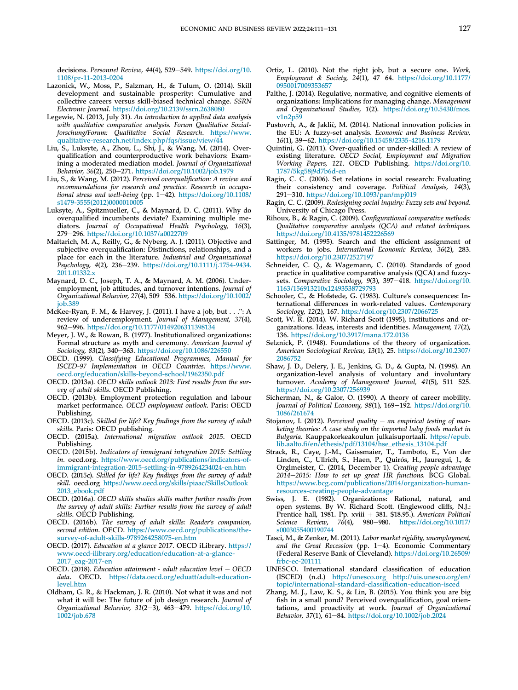decisions. Personnel Review, 44(4), 529-549. [https://doi.org/10.](https://doi.org/10.1108/pr-11-2013-0204) [1108/pr-11-2013-0204](https://doi.org/10.1108/pr-11-2013-0204)

- <span id="page-17-7"></span>Lazonick, W., Moss, P., Salzman, H., & Tulum, O. (2014). Skill development and sustainable prosperity: Cumulative and collective careers versus skill-biased technical change. SSRN Electronic Journal. <https://doi.org/10.2139/ssrn.2638080>
- <span id="page-17-32"></span>Legewie, N. (2013, July 31). An introduction to applied data analysis with qualitative comparative analysis. Forum Qualitative Sozialforschung/Forum: Qualitative Social Research. [https://www.](https://www.qualitative-research.net/index.php/fqs/issue/view/44) [qualitative-research.net/index.php/fqs/issue/view/44](https://www.qualitative-research.net/index.php/fqs/issue/view/44)
- <span id="page-17-14"></span>Liu, S., Luksyte, A., Zhou, L., Shi, J., & Wang, M. (2014). Overqualification and counterproductive work behaviors: Examining a moderated mediation model. Journal of Organizational Behavior, 36(2), 250-271. <https://doi.org/10.1002/job.1979>
- <span id="page-17-12"></span>Liu, S., & Wang, M. (2012). Perceived overqualification: A review and recommendations for research and practice. Research in occupational stress and well-being (pp. 1-42). [https://doi.org/10.1108/](https://doi.org/10.1108/s1479-3555(2012)0000010005) [s1479-3555\(2012\)0000010005](https://doi.org/10.1108/s1479-3555(2012)0000010005)
- <span id="page-17-26"></span>Luksyte, A., Spitzmueller, C., & Maynard, D. C. (2011). Why do overqualified incumbents deviate? Examining multiple mediators. Journal of Occupational Health Psychology, 16(3), 279-296. <https://doi.org/10.1037/a0022709>
- <span id="page-17-2"></span>Maltarich, M. A., Reilly, G., & Nyberg, A. J. (2011). Objective and subjective overqualification: Distinctions, relationships, and a place for each in the literature. Industrial and Organizational Psychology, 4(2), 236-239. [https://doi.org/10.1111/j.1754-9434.](https://doi.org/10.1111/j.1754-9434.2011.01332.x) [2011.01332.x](https://doi.org/10.1111/j.1754-9434.2011.01332.x)
- <span id="page-17-13"></span>Maynard, D. C., Joseph, T. A., & Maynard, A. M. (2006). Underemployment, job attitudes, and turnover intentions. Journal of Organizational Behavior, 27(4), 509-536. [https://doi.org/10.1002/](https://doi.org/10.1002/job.389) [job.389](https://doi.org/10.1002/job.389)
- <span id="page-17-5"></span>McKee-Ryan, F. M., & Harvey, J. (2011). I have a job, but . . .": A review of underemployment. Journal of Management, 37(4), 962-996. <https://doi.org/10.1177/0149206311398134>
- <span id="page-17-21"></span>Meyer, J. W., & Rowan, B. (1977). Institutionalized organizations: Formal structure as myth and ceremony. American Journal of Sociology, 83(2), 340-363. <https://doi.org/10.1086/226550>
- <span id="page-17-36"></span>OECD. (1999). Classifying Educational Programmes, Manual for ISCED-97 Implementation in OECD Countries. [https://www.](https://www.oecd.org/education/skills-beyond-school/1962350.pdf) [oecd.org/education/skills-beyond-school/1962350.pdf](https://www.oecd.org/education/skills-beyond-school/1962350.pdf)
- <span id="page-17-4"></span>OECD. (2013a). OECD skills outlook 2013: First results from the survey of adult skills. OECD Publishing.
- <span id="page-17-8"></span>OECD. (2013b). Employment protection regulation and labour market performance. OECD employment outlook. Paris: OECD Publishing.
- <span id="page-17-1"></span>OECD. (2013c). Skilled for life? Key findings from the survey of adult skills. Paris: OECD publishing.
- <span id="page-17-35"></span>OECD. (2015a). International migration outlook 2015. OECD Publishing.
- <span id="page-17-38"></span>OECD. (2015b). Indicators of immigrant integration 2015: Settling in. oecd.org. [https://www.oecd.org/publications/indicators-of](https://www.oecd.org/publications/indicators-of-immigrant-integration-2015-settling-in-9789264234024-en.htm)[immigrant-integration-2015-settling-in-9789264234024-en.htm](https://www.oecd.org/publications/indicators-of-immigrant-integration-2015-settling-in-9789264234024-en.htm)
- <span id="page-17-27"></span>OECD. (2015c). Skilled for life? Key findings from the survey of adult skill. oecd.org [https://www.oecd.org/skills/piaac/SkillsOutlook\\_](https://www.oecd.org/skills/piaac/SkillsOutlook_2013_ebook.pdf) [2013\\_ebook.pdf](https://www.oecd.org/skills/piaac/SkillsOutlook_2013_ebook.pdf)
- <span id="page-17-23"></span>OECD. (2016a). OECD skills studies skills matter further results from the survey of adult skills: Further results from the survey of adult skills. OĚCD Publishing.
- <span id="page-17-11"></span>OECD. (2016b). The survey of adult skills: Reader's companion, second edition. OECD. [https://www.oecd.org/publications/the](https://www.oecd.org/publications/the-survey-of-adult-skills-9789264258075-en.htm)[survey-of-adult-skills-9789264258075-en.htm](https://www.oecd.org/publications/the-survey-of-adult-skills-9789264258075-en.htm)
- <span id="page-17-33"></span>OECD. (2017). Education at a glance 2017. OECD iLibrary. [https://](https://www.oecd-ilibrary.org/education/education-at-a-glance-2017_eag-2017-en) [www.oecd-ilibrary.org/education/education-at-a-glance-](https://www.oecd-ilibrary.org/education/education-at-a-glance-2017_eag-2017-en)[2017\\_eag-2017-en](https://www.oecd-ilibrary.org/education/education-at-a-glance-2017_eag-2017-en)
- <span id="page-17-34"></span>OECD. (2018). Education attainment - adult education level  $-$  OECD data. OECD. [https://data.oecd.org/eduatt/adult-education](https://data.oecd.org/eduatt/adult-education-level.htm)[level.htm](https://data.oecd.org/eduatt/adult-education-level.htm)
- <span id="page-17-28"></span>Oldham, G. R., & Hackman, J. R. (2010). Not what it was and not what it will be: The future of job design research. Journal of Organizational Behavior,  $31(2-3)$ ,  $463-479$ . [https://doi.org/10.](https://doi.org/10.1002/job.678) [1002/job.678](https://doi.org/10.1002/job.678)
- <span id="page-17-17"></span>Ortiz, L. (2010). Not the right job, but a secure one. Work, Employment & Society, 24(1), 47-64. [https://doi.org/10.1177/](https://doi.org/10.1177/0950017009353657) [0950017009353657](https://doi.org/10.1177/0950017009353657)
- <span id="page-17-22"></span>Palthe, J. (2014). Regulative, normative, and cognitive elements of organizations: Implications for managing change. Management and Organizational Studies, 1(2). [https://doi.org/10.5430/mos.](https://doi.org/10.5430/mos.v1n2p59)  $v1n2p59$
- <span id="page-17-30"></span>Pustovrh, A., & Jaklic, M. (2014). National innovation policies in the EU: A fuzzy-set analysis. Economic and Business Review, 16(1), 39-62. <https://doi.org/10.15458/2335-4216.1179>
- <span id="page-17-6"></span>Quintini, G. (2011). Over-qualified or under-skilled: A review of existing literature. OECD Social, Employment and Migration Working Papers, 121. OECD Publishing. [https://doi.org/10.](https://doi.org/10.1787/5kg58j9d7b6d-en) [1787/5kg58j9d7b6d-en](https://doi.org/10.1787/5kg58j9d7b6d-en)
- <span id="page-17-9"></span>Ragin, C. C. (2006). Set relations in social research: Evaluating their consistency and coverage. Political Analysis, 14(3), 291-310. <https://doi.org/10.1093/pan/mpj019>
- <span id="page-17-31"></span>Ragin, C. C. (2009). Redesigning social inquiry: Fuzzy sets and beyond. University of Chicago Press.
- <span id="page-17-10"></span>Rihoux, B., & Ragin, C. (2009). Configurational comparative methods: Qualitative comparative analysis (QCA) and related techniques. <https://doi.org/10.4135/9781452226569>
- <span id="page-17-16"></span>Sattinger, M. (1995). Search and the efficient assignment of workers to jobs. International Economic Review, 36(2), 283. <https://doi.org/10.2307/2527197>
- <span id="page-17-40"></span>Schneider, C. Q., & Wagemann, C. (2010). Standards of good practice in qualitative comparative analysis (QCA) and fuzzysets. Comparative Sociology, 9(3), 397-418. [https://doi.org/10.](https://doi.org/10.1163/156913210x12493538729793) [1163/156913210x12493538729793](https://doi.org/10.1163/156913210x12493538729793)
- <span id="page-17-39"></span>Schooler, C., & Hofstede, G. (1983). Culture's consequences: International differences in work-related values. Contemporary Sociology, 12(2), 167. <https://doi.org/10.2307/2066725>
- <span id="page-17-19"></span>Scott, W. R. (2014). W. Richard Scott (1995), institutions and organizations. Ideas, interests and identities. Management, 17(2), 136. <https://doi.org/10.3917/mana.172.0136>
- <span id="page-17-29"></span>Selznick, P. (1948). Foundations of the theory of organization. American Sociological Review, 13(1), 25. [https://doi.org/10.2307/](https://doi.org/10.2307/2086752) [2086752](https://doi.org/10.2307/2086752)
- <span id="page-17-25"></span>Shaw, J. D., Delery, J. E., Jenkins, G. D., & Gupta, N. (1998). An organization-level analysis of voluntary and involuntary turnover. Academy of Management Journal, 41(5), 511-525. <https://doi.org/10.2307/256939>
- <span id="page-17-15"></span>Sicherman, N., & Galor, O. (1990). A theory of career mobility. Journal of Political Economy, 98(1), 169-192. [https://doi.org/10.](https://doi.org/10.1086/261674) [1086/261674](https://doi.org/10.1086/261674)
- <span id="page-17-24"></span>Stojanov, I. (2012). Perceived quality  $-$  an empirical testing of marketing theories: A case study on the imported baby foods market in Bulgaria. Kauppakorkeakoulun julkaisuportaali. [https://epub.](https://epub.lib.aalto.fi/en/ethesis/pdf/13104/hse_ethesis_13104.pdf) lib.aalto.fi[/en/ethesis/pdf/13104/hse\\_ethesis\\_13104.pdf](https://epub.lib.aalto.fi/en/ethesis/pdf/13104/hse_ethesis_13104.pdf)
- <span id="page-17-0"></span>Strack, R., Caye, J.-M., Gaissmaier, T., Tamboto, E., Von der Linden, C., Ullrich, S., Haen, P., Quirós, H., Jauregui, J., & Orglmeister, C. (2014, December 1). Creating people advantage 2014-2015: How to set up great HR functions. BCG Global. [https://www.bcg.com/publications/2014/organization-human](https://www.bcg.com/publications/2014/organization-human-resources-creating-people-advantage)[resources-creating-people-advantage](https://www.bcg.com/publications/2014/organization-human-resources-creating-people-advantage)
- <span id="page-17-20"></span>Swiss, J. E. (1982). Organizations: Rational, natural, and open systems. By W. Richard Scott. (Englewood cliffs, N.J.: Prentice hall, 1981. Pp. xviii + 381. \$18.95.). American Political<br>Science Review, 76(4), 980–980. https://doi.org/10.1017/ 980-980. [https://doi.org/10.1017/](https://doi.org/10.1017/s0003055400190744) [s0003055400190744](https://doi.org/10.1017/s0003055400190744)
- <span id="page-17-18"></span>Tasci, M., & Zenker, M. (2011). Labor market rigidity, unemployment, and the Great Recession (pp.  $1-4$ ). Economic Commentary (Federal Reserve Bank of Cleveland). [https://doi.org/10.26509/](https://doi.org/10.26509/frbc-ec-201111) [frbc-ec-201111](https://doi.org/10.26509/frbc-ec-201111)
- <span id="page-17-37"></span>UNESCO. International standard classification of education (ISCED) (n.d.) <http://unesco.org> [http://uis.unesco.org/en/](http://uis.unesco.org/en/topic/international-standard-classification-education-isced) [topic/international-standard-classi](http://uis.unesco.org/en/topic/international-standard-classification-education-isced)fication-education-isced
- <span id="page-17-3"></span>Zhang, M. J., Law, K. S., & Lin, B. (2015). You think you are big fish in a small pond? Perceived overqualification, goal orientations, and proactivity at work. Journal of Organizational Behavior, 37(1), 61-84. <https://doi.org/10.1002/job.2024>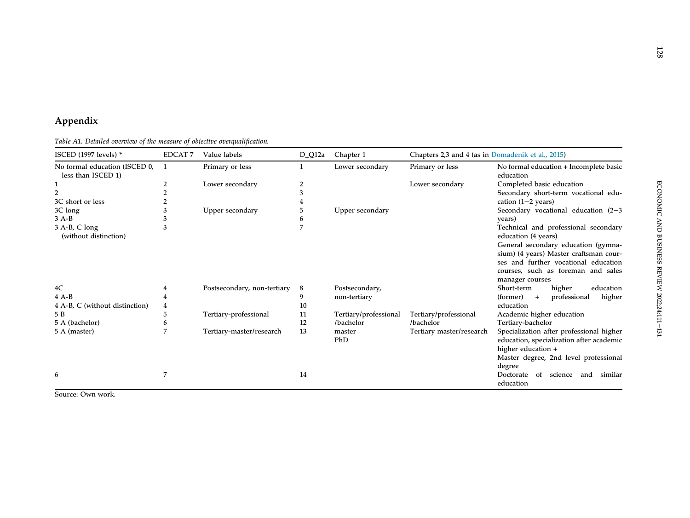# <span id="page-18-0"></span>Appendix

Table A1. Detailed overview of the measure of objective overqualification.

| ISCED (1997 levels) *                               | <b>EDCAT7</b> | Value labels                | $D_Q12a$ | Chapter 1             | Chapters 2,3 and 4 (as in Domadenik et al., 2015) |                                                                                                                                                               |
|-----------------------------------------------------|---------------|-----------------------------|----------|-----------------------|---------------------------------------------------|---------------------------------------------------------------------------------------------------------------------------------------------------------------|
| No formal education (ISCED 0,<br>less than ISCED 1) | -1            | Primary or less             |          | Lower secondary       | Primary or less                                   | No formal education + Incomplete basic<br>education                                                                                                           |
|                                                     |               | Lower secondary             | 2        |                       | Lower secondary                                   | Completed basic education                                                                                                                                     |
|                                                     |               |                             | 3        |                       |                                                   | Secondary short-term vocational edu-                                                                                                                          |
| 3C short or less                                    |               |                             |          |                       |                                                   | cation $(1-2 \text{ years})$                                                                                                                                  |
| 3C long                                             | 3             | Upper secondary             | 5        | Upper secondary       |                                                   | Secondary vocational education $(2-3)$                                                                                                                        |
| $3A-B$                                              | 3             |                             | h        |                       |                                                   | years)                                                                                                                                                        |
| 3 A-B, C long<br>(without distinction)              | 3             |                             |          |                       |                                                   | Technical and professional secondary<br>education (4 years)<br>General secondary education (gymna-<br>sium) (4 years) Master craftsman cour-                  |
|                                                     |               |                             |          |                       |                                                   | ses and further vocational education<br>courses, such as foreman and sales<br>manager courses                                                                 |
| 4C                                                  | 4             | Postsecondary, non-tertiary | 8        | Postsecondary,        |                                                   | higher<br>Short-term<br>education                                                                                                                             |
| $4A-B$                                              | 4             |                             | 9        | non-tertiary          |                                                   | higher<br>professional<br>(former)<br>$+$                                                                                                                     |
| 4 A-B, C (without distinction)                      | 4             |                             | 10       |                       |                                                   | education                                                                                                                                                     |
| 5 B                                                 | 5             | Tertiary-professional       | 11       | Tertiary/professional | Tertiary/professional                             | Academic higher education                                                                                                                                     |
| 5 A (bachelor)                                      | 6             |                             | 12       | /bachelor             | /bachelor                                         | Tertiary-bachelor                                                                                                                                             |
| 5 A (master)                                        | 7             | Tertiary-master/research    | 13       | master<br>PhD         | Tertiary master/research                          | Specialization after professional higher<br>education, specialization after academic<br>higher education +<br>Master degree, 2nd level professional<br>degree |
| 6                                                   | 7             |                             | 14       |                       |                                                   | of science<br>Doctorate<br>and<br>similar<br>education                                                                                                        |

Source: Own work.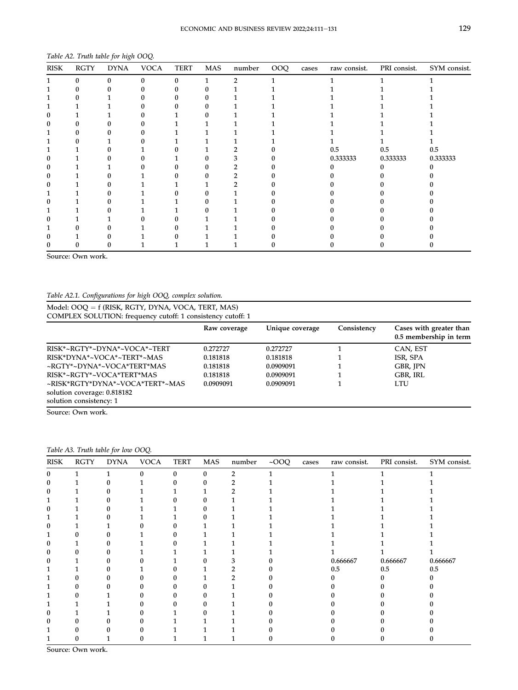<span id="page-19-0"></span>

| Table A2. Truth table for high OOQ. |  |  |  |  |  |
|-------------------------------------|--|--|--|--|--|
|-------------------------------------|--|--|--|--|--|

| <b>RISK</b> | <b>RGTY</b> | <b>DYNA</b> | <b>VOCA</b> | <b>TERT</b> | MAS | number | OOQ | cases | raw consist. | PRI consist. | SYM consist. |
|-------------|-------------|-------------|-------------|-------------|-----|--------|-----|-------|--------------|--------------|--------------|
|             | $\Omega$    |             |             |             |     |        |     |       |              |              |              |
|             |             |             |             |             |     |        |     |       |              |              |              |
|             |             |             |             |             |     |        |     |       |              |              |              |
|             |             |             |             |             |     |        |     |       |              |              |              |
|             |             |             |             |             |     |        |     |       |              |              |              |
|             |             |             |             |             |     |        |     |       |              |              |              |
|             |             |             |             |             |     |        |     |       |              |              |              |
|             |             |             |             |             |     |        |     |       |              |              |              |
|             |             |             |             |             |     |        |     |       | 0.5          | 0.5          | 0.5          |
|             |             |             |             |             |     |        |     |       | 0.333333     | 0.333333     | 0.333333     |
|             |             |             |             |             |     |        |     |       |              |              |              |
|             |             |             |             |             |     |        |     |       |              |              |              |
|             |             |             |             |             |     |        |     |       |              |              |              |
|             |             |             |             |             |     |        |     |       |              |              |              |
|             |             |             |             |             |     |        |     |       |              |              |              |
|             |             |             |             |             |     |        |     |       |              |              |              |
|             |             |             |             |             |     |        |     |       |              |              |              |
|             |             |             |             |             |     |        |     |       |              |              |              |
|             |             |             |             |             |     |        |     |       |              |              |              |
|             |             |             |             |             |     |        |     |       |              |              |              |

Source: Own work.

# Table A2.1. Configurations for high OOQ, complex solution.

| Model: $OOO = f$ (RISK, RGTY, DYNA, VOCA, TERT, MAS)<br>COMPLEX SOLUTION: frequency cutoff: 1 consistency cutoff: 1 |              |                 |             |                                                   |  |  |  |  |
|---------------------------------------------------------------------------------------------------------------------|--------------|-----------------|-------------|---------------------------------------------------|--|--|--|--|
|                                                                                                                     | Raw coverage | Unique coverage | Consistency | Cases with greater than<br>0.5 membership in term |  |  |  |  |
| RISK*~RGTY*~DYNA*~VOCA*~TERT                                                                                        | 0.272727     | 0.272727        |             | CAN, EST                                          |  |  |  |  |
| RISK*DYNA*~VOCA*~TERT*~MAS                                                                                          | 0.181818     | 0.181818        |             | ISR, SPA                                          |  |  |  |  |
| ~RGTY*~DYNA*~VOCA*TERT*MAS                                                                                          | 0.181818     | 0.0909091       |             | GBR, JPN                                          |  |  |  |  |
| RISK*~RGTY*~VOCA*TERT*MAS                                                                                           | 0.181818     | 0.0909091       |             | GBR, IRL                                          |  |  |  |  |
| ~RISK*RGTY*DYNA*~VOCA*TERT*~MAS                                                                                     | 0.0909091    | 0.0909091       |             | LTU                                               |  |  |  |  |
| solution coverage: 0.818182                                                                                         |              |                 |             |                                                   |  |  |  |  |
| solution consistency: 1                                                                                             |              |                 |             |                                                   |  |  |  |  |

Source: Own work.

# Table A3. Truth table for low OOQ.

| <b>RISK</b> | <b>RGTY</b> | <b>DYNA</b> | <b>VOCA</b> | <b>TERT</b> | MAS | number | $\sim$ OOQ | cases | raw consist. | PRI consist. | SYM consist |
|-------------|-------------|-------------|-------------|-------------|-----|--------|------------|-------|--------------|--------------|-------------|
| 0           |             |             |             |             |     | っ      |            |       |              |              |             |
|             |             |             |             |             |     |        |            |       |              |              |             |
|             |             |             |             |             |     |        |            |       |              |              |             |
|             |             |             |             |             |     |        |            |       |              |              |             |
|             |             |             |             |             |     |        |            |       |              |              |             |
|             |             |             |             |             |     |        |            |       |              |              |             |
|             |             |             |             |             |     |        |            |       |              |              |             |
|             |             |             |             |             |     |        |            |       |              |              |             |
|             |             |             |             |             |     |        |            |       |              |              |             |
|             |             |             |             |             |     |        |            |       |              |              |             |
|             |             |             |             |             |     |        |            |       | 0.666667     | 0.666667     | 0.666667    |
|             |             |             |             |             |     |        |            |       | 0.5          | 0.5          | 0.5         |
|             |             |             |             |             |     |        |            |       |              |              |             |
|             |             |             |             |             |     |        |            |       |              |              |             |
|             |             |             |             |             |     |        |            |       |              |              |             |
|             |             |             |             |             |     |        |            |       |              |              |             |
|             |             |             |             |             |     |        |            |       |              |              |             |
|             |             |             |             |             |     |        |            |       |              |              |             |
|             |             |             |             |             |     |        |            |       |              |              |             |
|             |             |             |             |             |     |        |            |       |              |              |             |

Source: Own work.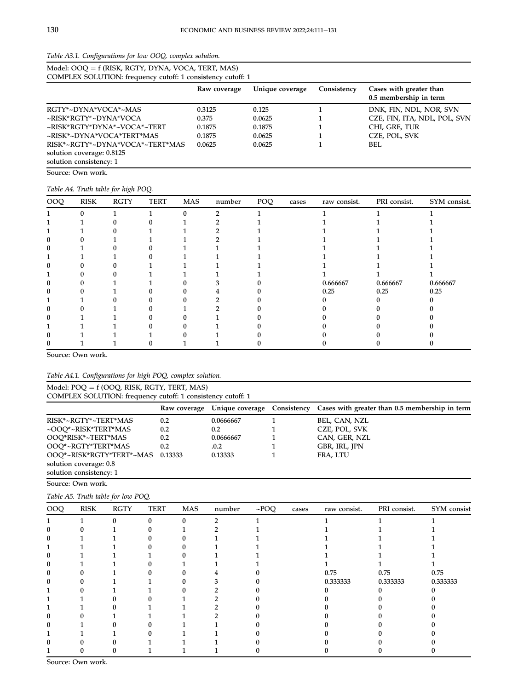|  | Table A3.1. Configurations for low OOQ, complex solution. |  |  |  |  |  |
|--|-----------------------------------------------------------|--|--|--|--|--|
|--|-----------------------------------------------------------|--|--|--|--|--|

 $\overline{\text{Model: OOQ}} = f \text{ (RISK, RGTY, DYNA, VOCA, TERT, MAS)}$ COMPLEX SOLUTION: frequency cutoff: 1 consistency cutoff: 1

|                                 | Raw coverage | Unique coverage | Consistency | Cases with greater than<br>0.5 membership in term |
|---------------------------------|--------------|-----------------|-------------|---------------------------------------------------|
| RGTY*~DYNA*VOCA*~MAS            | 0.3125       | 0.125           |             | DNK, FIN, NDL, NOR, SVN                           |
| ~RISK*RGTY*~DYNA*VOCA           | 0.375        | 0.0625          |             | CZE, FIN, ITA, NDL, POL, SVN                      |
| ~RISK*RGTY*DYNA*~VOCA*~TERT     | 0.1875       | 0.1875          |             | CHI, GRE, TUR                                     |
| ~RISK*~DYNA*VOCA*TERT*MAS       | 0.1875       | 0.0625          |             | CZE, POL, SVK                                     |
| RISK*~RGTY*~DYNA*VOCA*~TERT*MAS | 0.0625       | 0.0625          |             | BEL                                               |
| solution coverage: 0.8125       |              |                 |             |                                                   |
| solution consistency: 1         |              |                 |             |                                                   |

Source: Own work.

### Table A4. Truth table for high POQ.

| OOQ | <b>RISK</b> | <b>RGTY</b> | TERT | MAS | number | POQ | cases | raw consist. | PRI consist. | SYM consist. |
|-----|-------------|-------------|------|-----|--------|-----|-------|--------------|--------------|--------------|
|     |             |             |      |     |        |     |       |              |              |              |
|     |             |             |      |     |        |     |       |              |              |              |
|     |             |             |      |     |        |     |       |              |              |              |
|     |             |             |      |     |        |     |       |              |              |              |
|     |             |             |      |     |        |     |       |              |              |              |
|     |             |             |      |     |        |     |       |              |              |              |
|     |             |             |      |     |        |     |       |              |              |              |
|     |             |             |      |     |        |     |       |              |              |              |
|     |             |             |      |     |        |     |       | 0.666667     | 0.666667     | 0.666667     |
|     |             |             |      |     |        |     |       | 0.25         | 0.25         | 0.25         |
|     |             |             |      |     |        |     |       |              |              |              |
|     |             |             |      |     |        |     |       |              |              |              |
|     |             |             |      |     |        |     |       |              |              |              |
|     |             |             |      |     |        |     |       |              |              |              |
|     |             |             |      |     |        |     |       |              |              |              |
|     |             |             |      |     |        |     |       |              |              |              |

Source: Own work.

|  |  |  | Table A4.1. Configurations for high POQ, complex solution. |
|--|--|--|------------------------------------------------------------|
|--|--|--|------------------------------------------------------------|

| Model: POQ = f (OOQ, RISK, RGTY, TERT, MAS)                 |
|-------------------------------------------------------------|
| COMPLEX SOLUTION: frequency cutoff: 1 consistency cutoff: 1 |

|                                  | Raw coverage |           | Unique coverage Consistency Cases with greater than 0.5 membership in term |
|----------------------------------|--------------|-----------|----------------------------------------------------------------------------|
| RISK*~RGTY*~TERT*MAS             | 0.2          | 0.0666667 | BEL, CAN, NZL                                                              |
| ~OOO*~RISK*TERT*MAS              | 0.2          | 0.2       | CZE, POL, SVK                                                              |
| OOO*RISK*~TERT*MAS               | 0.2          | 0.0666667 | CAN, GER, NZL                                                              |
| OOO*~RGTY*TERT*MAS               | 0.2          | .0.2      | GBR, IRL, IPN                                                              |
| OOQ*~RISK*RGTY*TERT*~MAS 0.13333 |              | 0.13333   | FRA, LTU                                                                   |
| solution coverage: 0.8           |              |           |                                                                            |
| solution consistency: 1          |              |           |                                                                            |

Source: Own work.

#### Table A5. Truth table for low POQ.

| OOQ. | RISK | <b>RGTY</b> | <b>TERT</b> | MAS | number | $-POQ$ | cases | raw consist. | PRI consist. | SYM consist |
|------|------|-------------|-------------|-----|--------|--------|-------|--------------|--------------|-------------|
|      |      |             |             |     |        |        |       |              |              |             |
| 0    |      |             |             |     |        |        |       |              |              |             |
| 0    |      |             |             |     |        |        |       |              |              |             |
|      |      |             |             |     |        |        |       |              |              |             |
| 0    |      |             |             |     |        |        |       |              |              |             |
| 0    |      |             |             |     |        |        |       |              |              |             |
| 0    |      |             |             |     |        |        |       | 0.75         | 0.75         | 0.75        |
| 0    |      |             |             |     |        |        |       | 0.333333     | 0.333333     | 0.333333    |
|      |      |             |             |     |        |        |       |              |              |             |
|      |      |             |             |     |        |        |       |              |              |             |
|      |      |             |             |     |        |        |       |              |              |             |
| 0    |      |             |             |     |        |        |       |              |              |             |
| 0    |      |             |             |     |        |        |       |              |              |             |
|      |      |             |             |     |        |        |       |              |              |             |
| 0    |      |             |             |     |        |        |       |              |              |             |
|      |      |             |             |     |        |        |       |              |              |             |

Source: Own work.